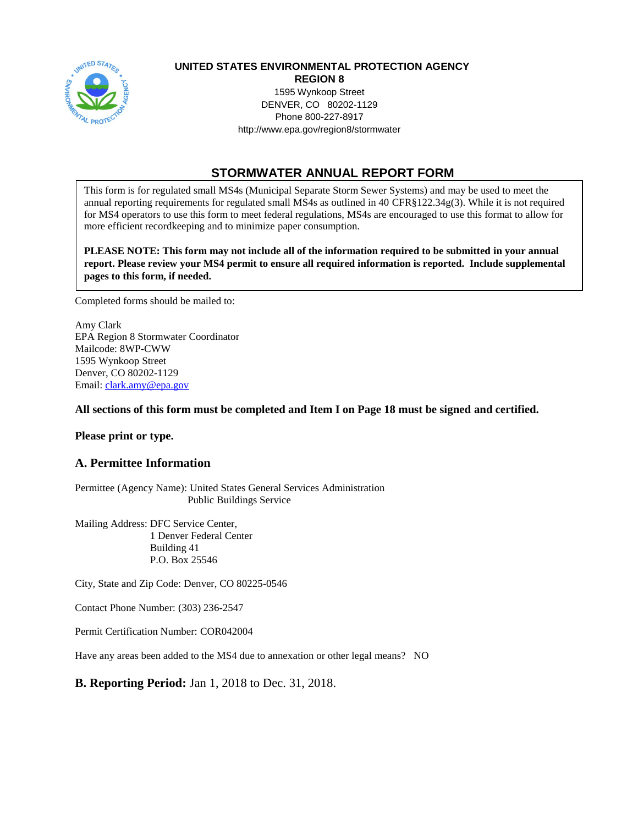

## **UNITED STATES ENVIRONMENTAL PROTECTION AGENCY**

 DENVER, CO 80202-1129 **REGION 8**  1595 Wynkoop Street Phone 800-227-8917 <http://www.epa.gov/region8/stormwater>

# **STORMWATER ANNUAL REPORT FORM**

 This form is for regulated small MS4s (Municipal Separate Storm Sewer Systems) and may be used to meet the annual reporting requirements for regulated small MS4s as outlined in 40 CFR§122.34g(3). While it is not required for MS4 operators to use this form to meet federal regulations, MS4s are encouraged to use this format to allow for more efficient recordkeeping and to minimize paper consumption.

 **PLEASE NOTE: This form may not include all of the information required to be submitted in your annual report. Please review your MS4 permit to ensure all required information is reported. Include supplemental pages to this form, if needed.** 

Completed forms should be mailed to:

 Amy Clark EPA Region 8 Stormwater Coordinator 1595 Wynkoop Street Mailcode: 8WP-CWW Denver, CO 80202-1129 Email: [clark.amy@epa.gov](mailto:clark.amy@epa.gov) 

#### **All sections of this form must be completed and Item I on Page 18 must be signed and certified.**

**Please print or type.** 

## **A. Permittee Information**

 Permittee (Agency Name): United States General Services Administration Public Buildings Service

 Mailing Address: DFC Service Center, 1 Denver Federal Center Building 41 P.O. Box 25546

City, State and Zip Code: Denver, CO 80225-0546

Contact Phone Number: (303) 236-2547

Permit Certification Number: COR042004

Have any areas been added to the MS4 due to annexation or other legal means? NO

## **B. Reporting Period:** Jan 1, 2018 to Dec. 31, 2018.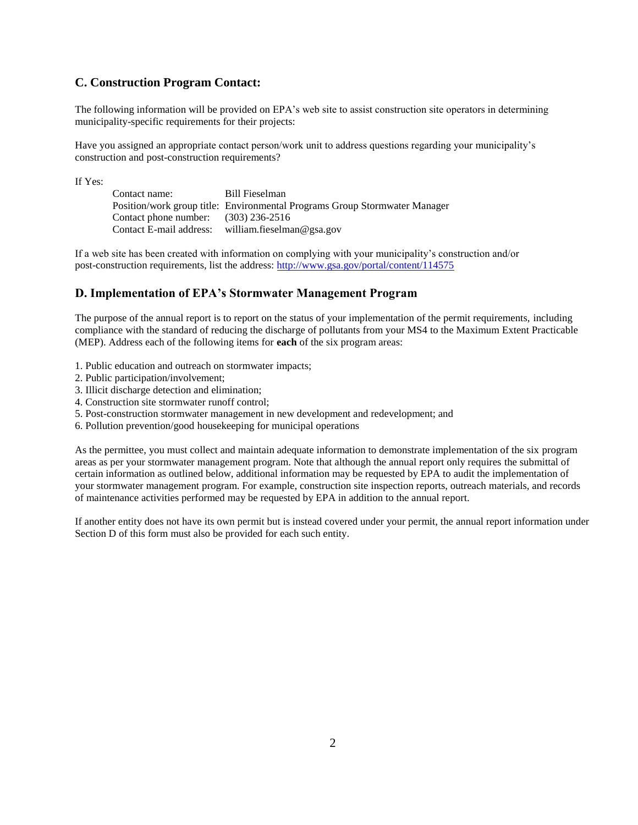#### **C. Construction Program Contact:**

 The following information will be provided on EPA's web site to assist construction site operators in determining municipality-specific requirements for their projects:

 Have you assigned an appropriate contact person/work unit to address questions regarding your municipality's construction and post-construction requirements?

If Yes:

Contact name: Position/work group title: Environmental Programs Group Stormwater Manager Contact phone number: (303) 236-2516 Contact E-mail address: Bill Fieselman william.fieselman@gsa.gov

 If a web site has been created with information on complying with your municipality's construction and/or post-construction requirements, list the address:<http://www.gsa.gov/portal/content/114575>

#### **D. Implementation of EPA's Stormwater Management Program**

 The purpose of the annual report is to report on the status of your implementation of the permit requirements, including compliance with the standard of reducing the discharge of pollutants from your MS4 to the Maximum Extent Practicable (MEP). Address each of the following items for **each** of the six program areas:

- 1. Public education and outreach on stormwater impacts;
- 2. Public participation/involvement;
- 3. Illicit discharge detection and elimination;
- 4. Construction site stormwater runoff control;
- 5. Post-construction stormwater management in new development and redevelopment; and
- 6. Pollution prevention/good housekeeping for municipal operations

 As the permittee, you must collect and maintain adequate information to demonstrate implementation of the six program areas as per your stormwater management program. Note that although the annual report only requires the submittal of certain information as outlined below, additional information may be requested by EPA to audit the implementation of your stormwater management program. For example, construction site inspection reports, outreach materials, and records of maintenance activities performed may be requested by EPA in addition to the annual report.

 If another entity does not have its own permit but is instead covered under your permit, the annual report information under Section D of this form must also be provided for each such entity.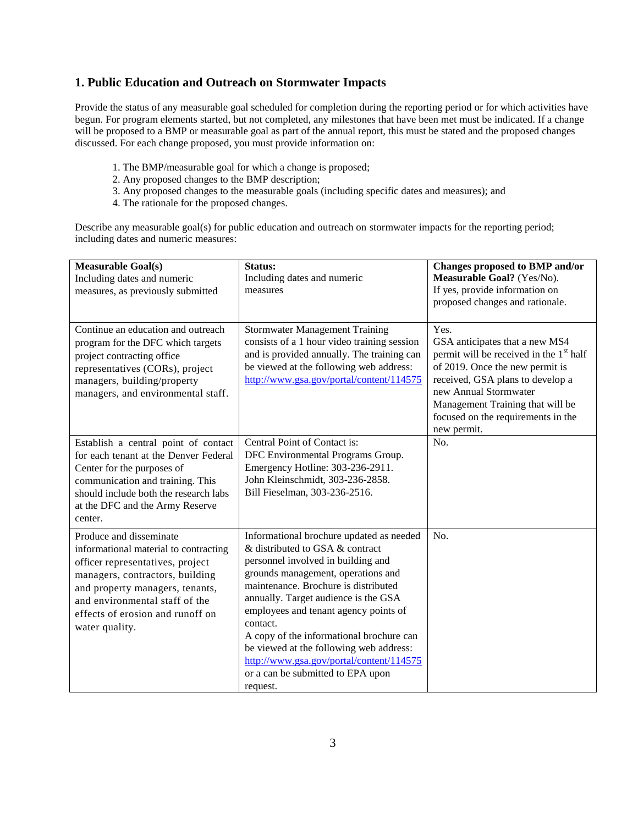#### **1. Public Education and Outreach on Stormwater Impacts**

 Provide the status of any measurable goal scheduled for completion during the reporting period or for which activities have begun. For program elements started, but not completed, any milestones that have been met must be indicated. If a change will be proposed to a BMP or measurable goal as part of the annual report, this must be stated and the proposed changes discussed. For each change proposed, you must provide information on:

- 1. The BMP/measurable goal for which a change is proposed;
- 2. Any proposed changes to the BMP description;
- 3. Any proposed changes to the measurable goals (including specific dates and measures); and
- 4. The rationale for the proposed changes.

 Describe any measurable goal(s) for public education and outreach on stormwater impacts for the reporting period; including dates and numeric measures:

| <b>Measurable Goal(s)</b><br>Including dates and numeric<br>measures, as previously submitted                                                                                                                                                                      | Status:<br>Including dates and numeric<br>measures                                                                                                                                                                                                                                                                                                                                                                                                                               | Changes proposed to BMP and/or<br>Measurable Goal? (Yes/No).<br>If yes, provide information on<br>proposed changes and rationale.                                                                                                                                                      |
|--------------------------------------------------------------------------------------------------------------------------------------------------------------------------------------------------------------------------------------------------------------------|----------------------------------------------------------------------------------------------------------------------------------------------------------------------------------------------------------------------------------------------------------------------------------------------------------------------------------------------------------------------------------------------------------------------------------------------------------------------------------|----------------------------------------------------------------------------------------------------------------------------------------------------------------------------------------------------------------------------------------------------------------------------------------|
| Continue an education and outreach<br>program for the DFC which targets<br>project contracting office<br>representatives (CORs), project<br>managers, building/property<br>managers, and environmental staff.                                                      | <b>Stormwater Management Training</b><br>consists of a 1 hour video training session<br>and is provided annually. The training can<br>be viewed at the following web address:<br>http://www.gsa.gov/portal/content/114575                                                                                                                                                                                                                                                        | Yes.<br>GSA anticipates that a new MS4<br>permit will be received in the 1 <sup>st</sup> half<br>of 2019. Once the new permit is<br>received, GSA plans to develop a<br>new Annual Stormwater<br>Management Training that will be<br>focused on the requirements in the<br>new permit. |
| Establish a central point of contact<br>for each tenant at the Denver Federal<br>Center for the purposes of<br>communication and training. This<br>should include both the research labs<br>at the DFC and the Army Reserve<br>center.                             | Central Point of Contact is:<br>DFC Environmental Programs Group.<br>Emergency Hotline: 303-236-2911.<br>John Kleinschmidt, 303-236-2858.<br>Bill Fieselman, 303-236-2516.                                                                                                                                                                                                                                                                                                       | No.                                                                                                                                                                                                                                                                                    |
| Produce and disseminate<br>informational material to contracting<br>officer representatives, project<br>managers, contractors, building<br>and property managers, tenants,<br>and environmental staff of the<br>effects of erosion and runoff on<br>water quality. | Informational brochure updated as needed<br>& distributed to GSA & contract<br>personnel involved in building and<br>grounds management, operations and<br>maintenance. Brochure is distributed<br>annually. Target audience is the GSA<br>employees and tenant agency points of<br>contact.<br>A copy of the informational brochure can<br>be viewed at the following web address:<br>http://www.gsa.gov/portal/content/114575<br>or a can be submitted to EPA upon<br>request. | No.                                                                                                                                                                                                                                                                                    |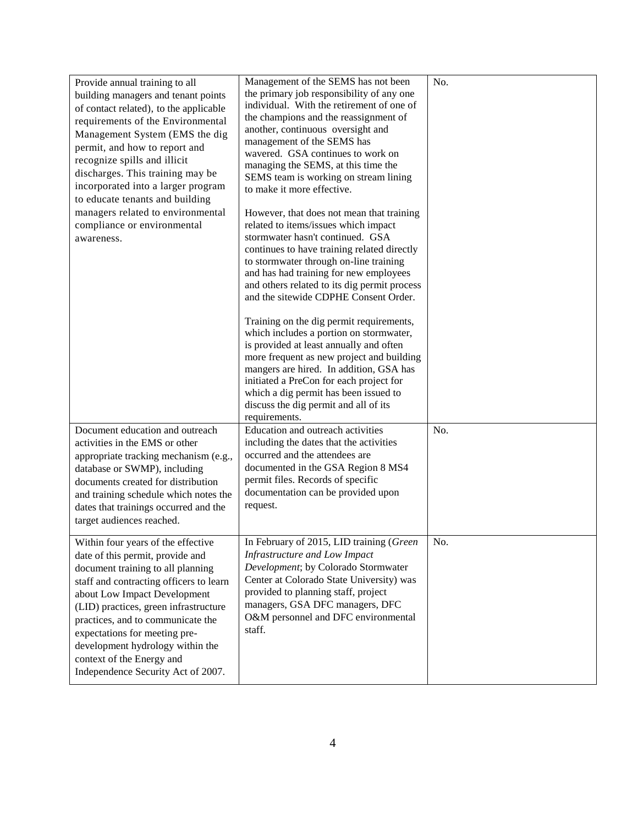| Provide annual training to all<br>building managers and tenant points<br>of contact related), to the applicable<br>requirements of the Environmental<br>Management System (EMS the dig<br>permit, and how to report and<br>recognize spills and illicit<br>discharges. This training may be<br>incorporated into a larger program<br>to educate tenants and building<br>managers related to environmental<br>compliance or environmental<br>awareness. | Management of the SEMS has not been<br>the primary job responsibility of any one<br>individual. With the retirement of one of<br>the champions and the reassignment of<br>another, continuous oversight and<br>management of the SEMS has<br>wavered. GSA continues to work on<br>managing the SEMS, at this time the<br>SEMS team is working on stream lining<br>to make it more effective.<br>However, that does not mean that training<br>related to items/issues which impact<br>stormwater hasn't continued. GSA<br>continues to have training related directly<br>to stormwater through on-line training<br>and has had training for new employees<br>and others related to its dig permit process<br>and the sitewide CDPHE Consent Order.<br>Training on the dig permit requirements,<br>which includes a portion on stormwater,<br>is provided at least annually and often<br>more frequent as new project and building<br>mangers are hired. In addition, GSA has<br>initiated a PreCon for each project for<br>which a dig permit has been issued to<br>discuss the dig permit and all of its<br>requirements. | No. |
|--------------------------------------------------------------------------------------------------------------------------------------------------------------------------------------------------------------------------------------------------------------------------------------------------------------------------------------------------------------------------------------------------------------------------------------------------------|---------------------------------------------------------------------------------------------------------------------------------------------------------------------------------------------------------------------------------------------------------------------------------------------------------------------------------------------------------------------------------------------------------------------------------------------------------------------------------------------------------------------------------------------------------------------------------------------------------------------------------------------------------------------------------------------------------------------------------------------------------------------------------------------------------------------------------------------------------------------------------------------------------------------------------------------------------------------------------------------------------------------------------------------------------------------------------------------------------------------------|-----|
| Document education and outreach<br>activities in the EMS or other<br>appropriate tracking mechanism (e.g.,<br>database or SWMP), including<br>documents created for distribution<br>and training schedule which notes the<br>dates that trainings occurred and the<br>target audiences reached.                                                                                                                                                        | Education and outreach activities<br>including the dates that the activities<br>occurred and the attendees are<br>documented in the GSA Region 8 MS4<br>permit files. Records of specific<br>documentation can be provided upon<br>request.                                                                                                                                                                                                                                                                                                                                                                                                                                                                                                                                                                                                                                                                                                                                                                                                                                                                               | No. |
| Within four years of the effective<br>date of this permit, provide and<br>document training to all planning<br>staff and contracting officers to learn<br>about Low Impact Development<br>(LID) practices, green infrastructure<br>practices, and to communicate the<br>expectations for meeting pre-<br>development hydrology within the<br>context of the Energy and<br>Independence Security Act of 2007.                                           | In February of 2015, LID training (Green<br>Infrastructure and Low Impact<br>Development; by Colorado Stormwater<br>Center at Colorado State University) was<br>provided to planning staff, project<br>managers, GSA DFC managers, DFC<br>O&M personnel and DFC environmental<br>staff.                                                                                                                                                                                                                                                                                                                                                                                                                                                                                                                                                                                                                                                                                                                                                                                                                                   | No. |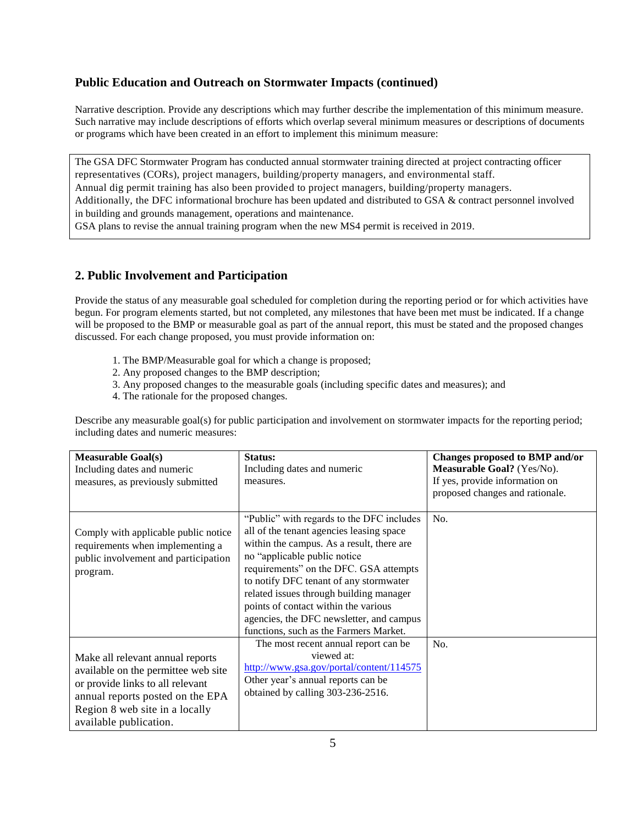## **Public Education and Outreach on Stormwater Impacts (continued)**

 Narrative description. Provide any descriptions which may further describe the implementation of this minimum measure. Such narrative may include descriptions of efforts which overlap several minimum measures or descriptions of documents or programs which have been created in an effort to implement this minimum measure:

 The GSA DFC Stormwater Program has conducted annual stormwater training directed at project contracting officer representatives (CORs), project managers, building/property managers, and environmental staff. Annual dig permit training has also been provided to project managers, building/property managers. Additionally, the DFC informational brochure has been updated and distributed to GSA & contract personnel involved in building and grounds management, operations and maintenance. GSA plans to revise the annual training program when the new MS4 permit is received in 2019.

## **2. Public Involvement and Participation**

 Provide the status of any measurable goal scheduled for completion during the reporting period or for which activities have begun. For program elements started, but not completed, any milestones that have been met must be indicated. If a change will be proposed to the BMP or measurable goal as part of the annual report, this must be stated and the proposed changes discussed. For each change proposed, you must provide information on:

- 1. The BMP/Measurable goal for which a change is proposed;
- 2. Any proposed changes to the BMP description;
- 3. Any proposed changes to the measurable goals (including specific dates and measures); and
- 4. The rationale for the proposed changes.

 Describe any measurable goal(s) for public participation and involvement on stormwater impacts for the reporting period; including dates and numeric measures:

| <b>Measurable Goal(s)</b><br>Including dates and numeric<br>measures, as previously submitted                                                                                                               | Status:<br>Including dates and numeric<br>measures.                                                                                                                                                                                                                                                                                                                                                                             | Changes proposed to BMP and/or<br>Measurable Goal? (Yes/No).<br>If yes, provide information on<br>proposed changes and rationale. |
|-------------------------------------------------------------------------------------------------------------------------------------------------------------------------------------------------------------|---------------------------------------------------------------------------------------------------------------------------------------------------------------------------------------------------------------------------------------------------------------------------------------------------------------------------------------------------------------------------------------------------------------------------------|-----------------------------------------------------------------------------------------------------------------------------------|
| Comply with applicable public notice<br>requirements when implementing a<br>public involvement and participation<br>program.                                                                                | "Public" with regards to the DFC includes<br>all of the tenant agencies leasing space<br>within the campus. As a result, there are<br>no "applicable public notice<br>requirements" on the DFC. GSA attempts<br>to notify DFC tenant of any stormwater<br>related issues through building manager<br>points of contact within the various<br>agencies, the DFC newsletter, and campus<br>functions, such as the Farmers Market. | No.                                                                                                                               |
| Make all relevant annual reports<br>available on the permittee web site<br>or provide links to all relevant<br>annual reports posted on the EPA<br>Region 8 web site in a locally<br>available publication. | The most recent annual report can be<br>viewed at:<br>http://www.gsa.gov/portal/content/114575<br>Other year's annual reports can be<br>obtained by calling 303-236-2516.                                                                                                                                                                                                                                                       | No.                                                                                                                               |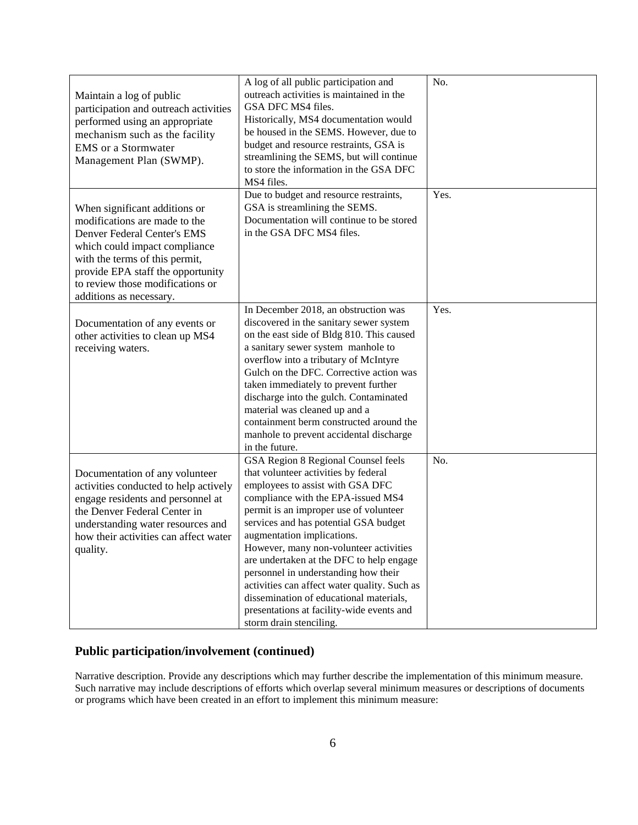| Maintain a log of public<br>participation and outreach activities<br>performed using an appropriate<br>mechanism such as the facility<br><b>EMS</b> or a Stormwater<br>Management Plan (SWMP).                                                                       | A log of all public participation and<br>outreach activities is maintained in the<br>GSA DFC MS4 files.<br>Historically, MS4 documentation would<br>be housed in the SEMS. However, due to<br>budget and resource restraints, GSA is<br>streamlining the SEMS, but will continue<br>to store the information in the GSA DFC<br>MS4 files.                                                                                                                                                                                                                               | No.  |
|----------------------------------------------------------------------------------------------------------------------------------------------------------------------------------------------------------------------------------------------------------------------|-------------------------------------------------------------------------------------------------------------------------------------------------------------------------------------------------------------------------------------------------------------------------------------------------------------------------------------------------------------------------------------------------------------------------------------------------------------------------------------------------------------------------------------------------------------------------|------|
| When significant additions or<br>modifications are made to the<br>Denver Federal Center's EMS<br>which could impact compliance<br>with the terms of this permit,<br>provide EPA staff the opportunity<br>to review those modifications or<br>additions as necessary. | Due to budget and resource restraints,<br>GSA is streamlining the SEMS.<br>Documentation will continue to be stored<br>in the GSA DFC MS4 files.                                                                                                                                                                                                                                                                                                                                                                                                                        | Yes. |
| Documentation of any events or<br>other activities to clean up MS4<br>receiving waters.                                                                                                                                                                              | In December 2018, an obstruction was<br>discovered in the sanitary sewer system<br>on the east side of Bldg 810. This caused<br>a sanitary sewer system manhole to<br>overflow into a tributary of McIntyre<br>Gulch on the DFC. Corrective action was<br>taken immediately to prevent further<br>discharge into the gulch. Contaminated<br>material was cleaned up and a<br>containment berm constructed around the<br>manhole to prevent accidental discharge<br>in the future.                                                                                       | Yes. |
| Documentation of any volunteer<br>activities conducted to help actively<br>engage residents and personnel at<br>the Denver Federal Center in<br>understanding water resources and<br>how their activities can affect water<br>quality.                               | GSA Region 8 Regional Counsel feels<br>that volunteer activities by federal<br>employees to assist with GSA DFC<br>compliance with the EPA-issued MS4<br>permit is an improper use of volunteer<br>services and has potential GSA budget<br>augmentation implications.<br>However, many non-volunteer activities<br>are undertaken at the DFC to help engage<br>personnel in understanding how their<br>activities can affect water quality. Such as<br>dissemination of educational materials,<br>presentations at facility-wide events and<br>storm drain stenciling. | No.  |

# **Public participation/involvement (continued)**

 Narrative description. Provide any descriptions which may further describe the implementation of this minimum measure. Such narrative may include descriptions of efforts which overlap several minimum measures or descriptions of documents or programs which have been created in an effort to implement this minimum measure: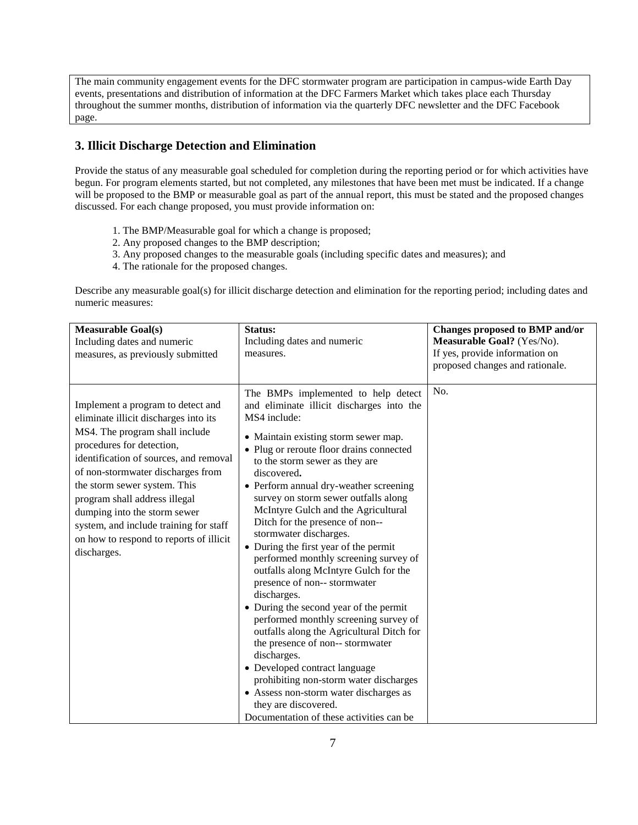The main community engagement events for the DFC stormwater program are participation in campus-wide Earth Day events, presentations and distribution of information at the DFC Farmers Market which takes place each Thursday throughout the summer months, distribution of information via the quarterly DFC newsletter and the DFC Facebook page.

## **3. Illicit Discharge Detection and Elimination**

 Provide the status of any measurable goal scheduled for completion during the reporting period or for which activities have begun. For program elements started, but not completed, any milestones that have been met must be indicated. If a change will be proposed to the BMP or measurable goal as part of the annual report, this must be stated and the proposed changes discussed. For each change proposed, you must provide information on:

- 1. The BMP/Measurable goal for which a change is proposed;
- 2. Any proposed changes to the BMP description;
- 3. Any proposed changes to the measurable goals (including specific dates and measures); and
- 4. The rationale for the proposed changes.

 Describe any measurable goal(s) for illicit discharge detection and elimination for the reporting period; including dates and numeric measures:

| <b>Measurable Goal(s)</b><br>Including dates and numeric<br>measures, as previously submitted                                                                                                                                                                                                                                                                                                                                 | Status:<br>Including dates and numeric<br>measures.                                                                                                                                                                                                                                                                                                                                                                                                                                                                                                                                                                                                                                                                                                                                                                                                                                                                                                                               | Changes proposed to BMP and/or<br>Measurable Goal? (Yes/No).<br>If yes, provide information on<br>proposed changes and rationale. |
|-------------------------------------------------------------------------------------------------------------------------------------------------------------------------------------------------------------------------------------------------------------------------------------------------------------------------------------------------------------------------------------------------------------------------------|-----------------------------------------------------------------------------------------------------------------------------------------------------------------------------------------------------------------------------------------------------------------------------------------------------------------------------------------------------------------------------------------------------------------------------------------------------------------------------------------------------------------------------------------------------------------------------------------------------------------------------------------------------------------------------------------------------------------------------------------------------------------------------------------------------------------------------------------------------------------------------------------------------------------------------------------------------------------------------------|-----------------------------------------------------------------------------------------------------------------------------------|
| Implement a program to detect and<br>eliminate illicit discharges into its<br>MS4. The program shall include<br>procedures for detection,<br>identification of sources, and removal<br>of non-stormwater discharges from<br>the storm sewer system. This<br>program shall address illegal<br>dumping into the storm sewer<br>system, and include training for staff<br>on how to respond to reports of illicit<br>discharges. | The BMPs implemented to help detect<br>and eliminate illicit discharges into the<br>MS4 include:<br>• Maintain existing storm sewer map.<br>• Plug or reroute floor drains connected<br>to the storm sewer as they are<br>discovered.<br>• Perform annual dry-weather screening<br>survey on storm sewer outfalls along<br>McIntyre Gulch and the Agricultural<br>Ditch for the presence of non--<br>stormwater discharges.<br>• During the first year of the permit<br>performed monthly screening survey of<br>outfalls along McIntyre Gulch for the<br>presence of non-- stormwater<br>discharges.<br>• During the second year of the permit<br>performed monthly screening survey of<br>outfalls along the Agricultural Ditch for<br>the presence of non-- stormwater<br>discharges.<br>• Developed contract language<br>prohibiting non-storm water discharges<br>• Assess non-storm water discharges as<br>they are discovered.<br>Documentation of these activities can be | No.                                                                                                                               |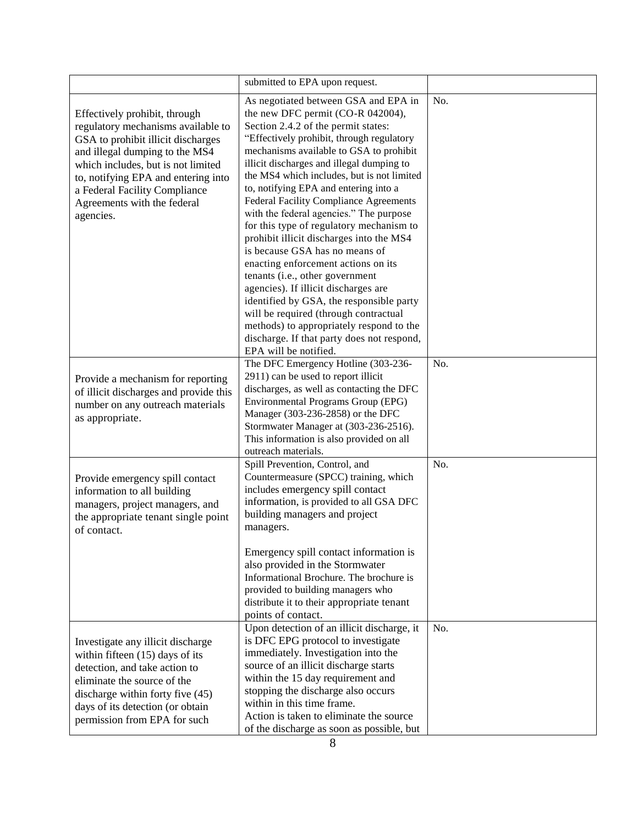|                                                                                                                                                                                                                                                                                                       | submitted to EPA upon request.                                                                                                                                                                                                                                                                                                                                                                                                                                                                                                                                                                                                                                                                                                                                                                                                                                                               |     |
|-------------------------------------------------------------------------------------------------------------------------------------------------------------------------------------------------------------------------------------------------------------------------------------------------------|----------------------------------------------------------------------------------------------------------------------------------------------------------------------------------------------------------------------------------------------------------------------------------------------------------------------------------------------------------------------------------------------------------------------------------------------------------------------------------------------------------------------------------------------------------------------------------------------------------------------------------------------------------------------------------------------------------------------------------------------------------------------------------------------------------------------------------------------------------------------------------------------|-----|
| Effectively prohibit, through<br>regulatory mechanisms available to<br>GSA to prohibit illicit discharges<br>and illegal dumping to the MS4<br>which includes, but is not limited<br>to, notifying EPA and entering into<br>a Federal Facility Compliance<br>Agreements with the federal<br>agencies. | As negotiated between GSA and EPA in<br>the new DFC permit (CO-R 042004),<br>Section 2.4.2 of the permit states:<br>"Effectively prohibit, through regulatory<br>mechanisms available to GSA to prohibit<br>illicit discharges and illegal dumping to<br>the MS4 which includes, but is not limited<br>to, notifying EPA and entering into a<br><b>Federal Facility Compliance Agreements</b><br>with the federal agencies." The purpose<br>for this type of regulatory mechanism to<br>prohibit illicit discharges into the MS4<br>is because GSA has no means of<br>enacting enforcement actions on its<br>tenants (i.e., other government<br>agencies). If illicit discharges are<br>identified by GSA, the responsible party<br>will be required (through contractual<br>methods) to appropriately respond to the<br>discharge. If that party does not respond,<br>EPA will be notified. | No. |
| Provide a mechanism for reporting<br>of illicit discharges and provide this<br>number on any outreach materials<br>as appropriate.                                                                                                                                                                    | The DFC Emergency Hotline (303-236-<br>2911) can be used to report illicit<br>discharges, as well as contacting the DFC<br>Environmental Programs Group (EPG)<br>Manager (303-236-2858) or the DFC<br>Stormwater Manager at (303-236-2516).<br>This information is also provided on all<br>outreach materials.                                                                                                                                                                                                                                                                                                                                                                                                                                                                                                                                                                               | No. |
| Provide emergency spill contact<br>information to all building<br>managers, project managers, and<br>the appropriate tenant single point<br>of contact.                                                                                                                                               | Spill Prevention, Control, and<br>Countermeasure (SPCC) training, which<br>includes emergency spill contact<br>information, is provided to all GSA DFC<br>building managers and project<br>managers.<br>Emergency spill contact information is<br>also provided in the Stormwater<br>Informational Brochure. The brochure is<br>provided to building managers who<br>distribute it to their appropriate tenant<br>points of contact.                                                                                                                                                                                                                                                                                                                                                                                                                                                         | No. |
| Investigate any illicit discharge<br>within fifteen $(15)$ days of its<br>detection, and take action to<br>eliminate the source of the<br>discharge within forty five (45)<br>days of its detection (or obtain<br>permission from EPA for such                                                        | Upon detection of an illicit discharge, it<br>is DFC EPG protocol to investigate<br>immediately. Investigation into the<br>source of an illicit discharge starts<br>within the 15 day requirement and<br>stopping the discharge also occurs<br>within in this time frame.<br>Action is taken to eliminate the source<br>of the discharge as soon as possible, but                                                                                                                                                                                                                                                                                                                                                                                                                                                                                                                            | No. |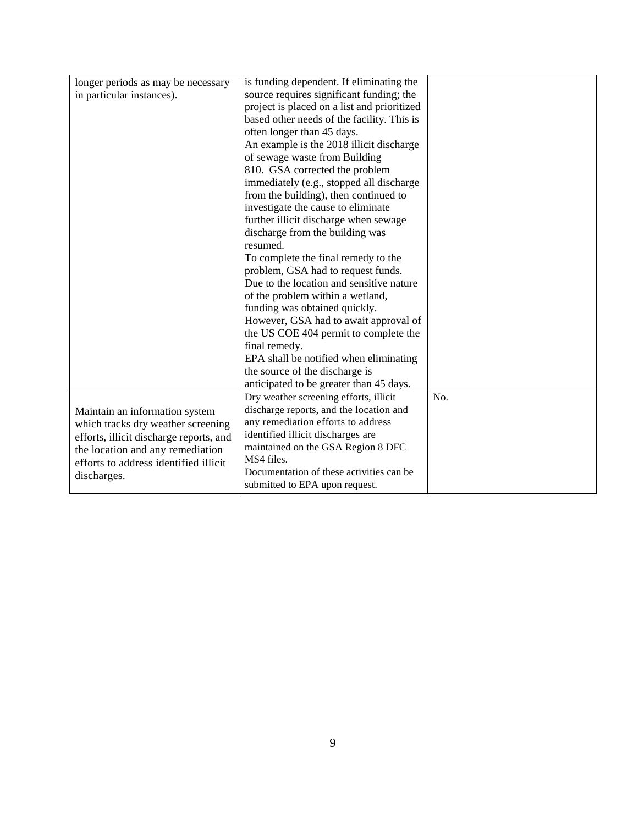| longer periods as may be necessary      | is funding dependent. If eliminating the    |     |
|-----------------------------------------|---------------------------------------------|-----|
| in particular instances).               | source requires significant funding; the    |     |
|                                         | project is placed on a list and prioritized |     |
|                                         | based other needs of the facility. This is  |     |
|                                         | often longer than 45 days.                  |     |
|                                         | An example is the 2018 illicit discharge    |     |
|                                         | of sewage waste from Building               |     |
|                                         | 810. GSA corrected the problem              |     |
|                                         | immediately (e.g., stopped all discharge    |     |
|                                         | from the building), then continued to       |     |
|                                         | investigate the cause to eliminate          |     |
|                                         | further illicit discharge when sewage       |     |
|                                         | discharge from the building was             |     |
|                                         | resumed.                                    |     |
|                                         | To complete the final remedy to the         |     |
|                                         | problem, GSA had to request funds.          |     |
|                                         | Due to the location and sensitive nature    |     |
|                                         | of the problem within a wetland,            |     |
|                                         | funding was obtained quickly.               |     |
|                                         | However, GSA had to await approval of       |     |
|                                         | the US COE 404 permit to complete the       |     |
|                                         | final remedy.                               |     |
|                                         | EPA shall be notified when eliminating      |     |
|                                         | the source of the discharge is              |     |
|                                         | anticipated to be greater than 45 days.     |     |
|                                         | Dry weather screening efforts, illicit      | No. |
| Maintain an information system          | discharge reports, and the location and     |     |
| which tracks dry weather screening      | any remediation efforts to address          |     |
| efforts, illicit discharge reports, and | identified illicit discharges are           |     |
| the location and any remediation        | maintained on the GSA Region 8 DFC          |     |
| efforts to address identified illicit   | MS4 files.                                  |     |
| discharges.                             | Documentation of these activities can be    |     |
|                                         | submitted to EPA upon request.              |     |
|                                         |                                             |     |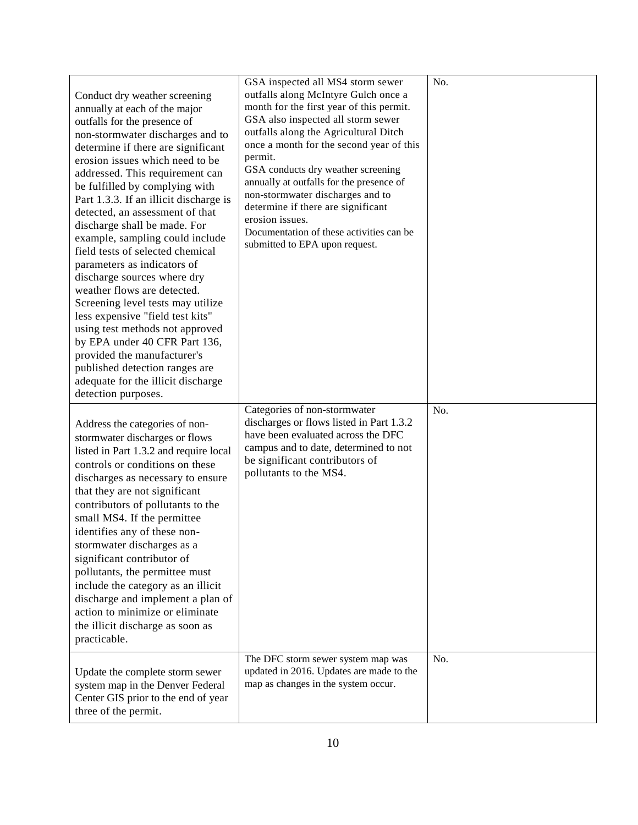| Conduct dry weather screening<br>annually at each of the major<br>outfalls for the presence of<br>non-stormwater discharges and to<br>determine if there are significant<br>erosion issues which need to be<br>addressed. This requirement can<br>be fulfilled by complying with<br>Part 1.3.3. If an illicit discharge is<br>detected, an assessment of that<br>discharge shall be made. For<br>example, sampling could include<br>field tests of selected chemical<br>parameters as indicators of<br>discharge sources where dry<br>weather flows are detected.<br>Screening level tests may utilize<br>less expensive "field test kits"<br>using test methods not approved<br>by EPA under 40 CFR Part 136,<br>provided the manufacturer's<br>published detection ranges are<br>adequate for the illicit discharge<br>detection purposes. | GSA inspected all MS4 storm sewer<br>outfalls along McIntyre Gulch once a<br>month for the first year of this permit.<br>GSA also inspected all storm sewer<br>outfalls along the Agricultural Ditch<br>once a month for the second year of this<br>permit.<br>GSA conducts dry weather screening<br>annually at outfalls for the presence of<br>non-stormwater discharges and to<br>determine if there are significant<br>erosion issues.<br>Documentation of these activities can be<br>submitted to EPA upon request. | No. |
|----------------------------------------------------------------------------------------------------------------------------------------------------------------------------------------------------------------------------------------------------------------------------------------------------------------------------------------------------------------------------------------------------------------------------------------------------------------------------------------------------------------------------------------------------------------------------------------------------------------------------------------------------------------------------------------------------------------------------------------------------------------------------------------------------------------------------------------------|--------------------------------------------------------------------------------------------------------------------------------------------------------------------------------------------------------------------------------------------------------------------------------------------------------------------------------------------------------------------------------------------------------------------------------------------------------------------------------------------------------------------------|-----|
| Address the categories of non-<br>stormwater discharges or flows<br>listed in Part 1.3.2 and require local<br>controls or conditions on these<br>discharges as necessary to ensure<br>that they are not significant<br>contributors of pollutants to the<br>small MS4. If the permittee<br>identifies any of these non-<br>stormwater discharges as a<br>significant contributor of<br>pollutants, the permittee must<br>include the category as an illicit<br>discharge and implement a plan of<br>action to minimize or eliminate<br>the illicit discharge as soon as<br>practicable.                                                                                                                                                                                                                                                      | Categories of non-stormwater<br>discharges or flows listed in Part 1.3.2<br>have been evaluated across the DFC<br>campus and to date, determined to not<br>be significant contributors of<br>pollutants to the MS4.                                                                                                                                                                                                                                                                                                      | No. |
| Update the complete storm sewer<br>system map in the Denver Federal<br>Center GIS prior to the end of year<br>three of the permit.                                                                                                                                                                                                                                                                                                                                                                                                                                                                                                                                                                                                                                                                                                           | The DFC storm sewer system map was<br>updated in 2016. Updates are made to the<br>map as changes in the system occur.                                                                                                                                                                                                                                                                                                                                                                                                    | No. |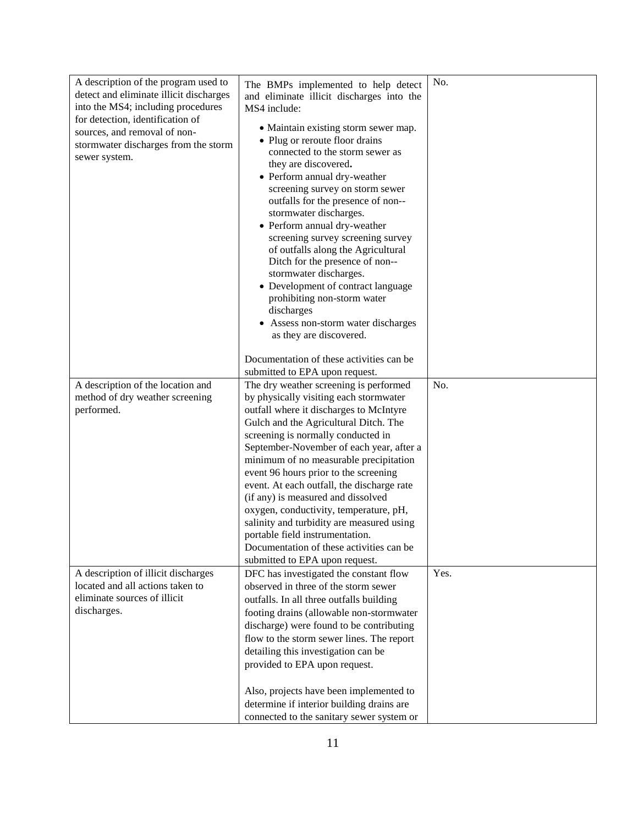| A description of the program used to    | The BMPs implemented to help detect                                             | No.  |
|-----------------------------------------|---------------------------------------------------------------------------------|------|
| detect and eliminate illicit discharges | and eliminate illicit discharges into the                                       |      |
| into the MS4; including procedures      | MS4 include:                                                                    |      |
| for detection, identification of        | • Maintain existing storm sewer map.                                            |      |
| sources, and removal of non-            | • Plug or reroute floor drains                                                  |      |
| stormwater discharges from the storm    | connected to the storm sewer as                                                 |      |
| sewer system.                           | they are discovered.                                                            |      |
|                                         | • Perform annual dry-weather                                                    |      |
|                                         | screening survey on storm sewer                                                 |      |
|                                         | outfalls for the presence of non--                                              |      |
|                                         | stormwater discharges.                                                          |      |
|                                         | • Perform annual dry-weather                                                    |      |
|                                         | screening survey screening survey                                               |      |
|                                         | of outfalls along the Agricultural                                              |      |
|                                         | Ditch for the presence of non--                                                 |      |
|                                         | stormwater discharges.                                                          |      |
|                                         | • Development of contract language                                              |      |
|                                         | prohibiting non-storm water                                                     |      |
|                                         | discharges                                                                      |      |
|                                         | • Assess non-storm water discharges                                             |      |
|                                         | as they are discovered.                                                         |      |
|                                         |                                                                                 |      |
|                                         | Documentation of these activities can be                                        |      |
|                                         | submitted to EPA upon request.                                                  |      |
| A description of the location and       | The dry weather screening is performed                                          | No.  |
| method of dry weather screening         | by physically visiting each stormwater                                          |      |
| performed.                              | outfall where it discharges to McIntyre                                         |      |
|                                         | Gulch and the Agricultural Ditch. The                                           |      |
|                                         | screening is normally conducted in                                              |      |
|                                         | September-November of each year, after a                                        |      |
|                                         | minimum of no measurable precipitation<br>event 96 hours prior to the screening |      |
|                                         | event. At each outfall, the discharge rate                                      |      |
|                                         | (if any) is measured and dissolved                                              |      |
|                                         | oxygen, conductivity, temperature, pH,                                          |      |
|                                         | salinity and turbidity are measured using                                       |      |
|                                         | portable field instrumentation.                                                 |      |
|                                         | Documentation of these activities can be                                        |      |
|                                         | submitted to EPA upon request.                                                  |      |
| A description of illicit discharges     | DFC has investigated the constant flow                                          | Yes. |
| located and all actions taken to        | observed in three of the storm sewer                                            |      |
| eliminate sources of illicit            | outfalls. In all three outfalls building                                        |      |
| discharges.                             | footing drains (allowable non-stormwater                                        |      |
|                                         | discharge) were found to be contributing                                        |      |
|                                         | flow to the storm sewer lines. The report                                       |      |
|                                         | detailing this investigation can be                                             |      |
|                                         | provided to EPA upon request.                                                   |      |
|                                         |                                                                                 |      |
|                                         |                                                                                 |      |
|                                         | Also, projects have been implemented to                                         |      |
|                                         | determine if interior building drains are                                       |      |
|                                         | connected to the sanitary sewer system or                                       |      |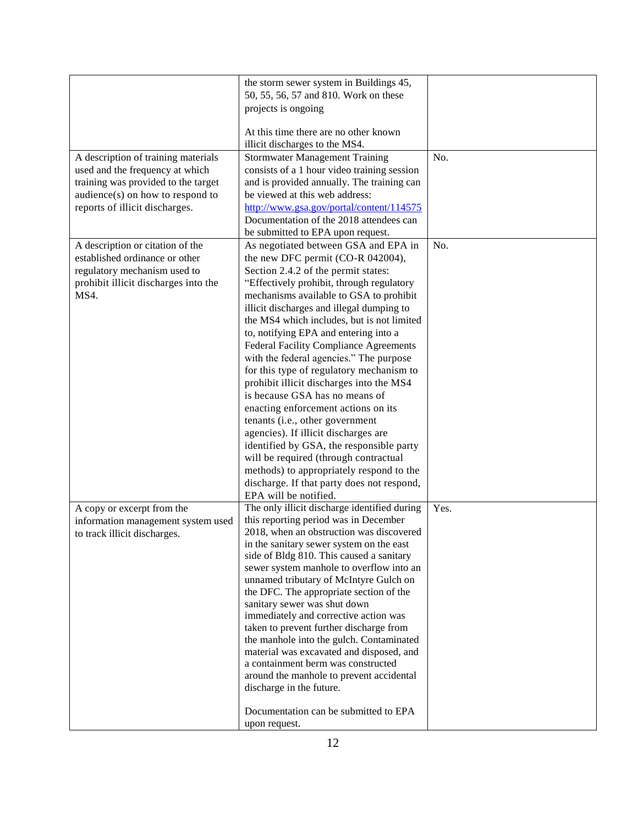|                                      | the storm sewer system in Buildings 45,                                              |      |
|--------------------------------------|--------------------------------------------------------------------------------------|------|
|                                      | 50, 55, 56, 57 and 810. Work on these                                                |      |
|                                      | projects is ongoing                                                                  |      |
|                                      |                                                                                      |      |
|                                      | At this time there are no other known                                                |      |
|                                      | illicit discharges to the MS4.                                                       |      |
| A description of training materials  | <b>Stormwater Management Training</b>                                                | No.  |
| used and the frequency at which      | consists of a 1 hour video training session                                          |      |
| training was provided to the target  | and is provided annually. The training can                                           |      |
| audience(s) on how to respond to     | be viewed at this web address:                                                       |      |
| reports of illicit discharges.       | http://www.gsa.gov/portal/content/114575                                             |      |
|                                      | Documentation of the 2018 attendees can                                              |      |
|                                      | be submitted to EPA upon request.                                                    |      |
| A description or citation of the     | As negotiated between GSA and EPA in                                                 | No.  |
| established ordinance or other       | the new DFC permit (CO-R 042004),                                                    |      |
| regulatory mechanism used to         | Section 2.4.2 of the permit states:                                                  |      |
| prohibit illicit discharges into the | "Effectively prohibit, through regulatory                                            |      |
| MS4.                                 | mechanisms available to GSA to prohibit                                              |      |
|                                      | illicit discharges and illegal dumping to                                            |      |
|                                      | the MS4 which includes, but is not limited                                           |      |
|                                      | to, notifying EPA and entering into a                                                |      |
|                                      | <b>Federal Facility Compliance Agreements</b>                                        |      |
|                                      | with the federal agencies." The purpose                                              |      |
|                                      | for this type of regulatory mechanism to                                             |      |
|                                      | prohibit illicit discharges into the MS4                                             |      |
|                                      | is because GSA has no means of                                                       |      |
|                                      | enacting enforcement actions on its                                                  |      |
|                                      | tenants (i.e., other government                                                      |      |
|                                      | agencies). If illicit discharges are                                                 |      |
|                                      | identified by GSA, the responsible party                                             |      |
|                                      | will be required (through contractual                                                |      |
|                                      | methods) to appropriately respond to the                                             |      |
|                                      | discharge. If that party does not respond,                                           |      |
|                                      | EPA will be notified.                                                                |      |
| A copy or excerpt from the           | The only illicit discharge identified during                                         | Yes. |
| information management system used   | this reporting period was in December                                                |      |
| to track illicit discharges.         | 2018, when an obstruction was discovered                                             |      |
|                                      | in the sanitary sewer system on the east<br>side of Bldg 810. This caused a sanitary |      |
|                                      | sewer system manhole to overflow into an                                             |      |
|                                      | unnamed tributary of McIntyre Gulch on                                               |      |
|                                      | the DFC. The appropriate section of the                                              |      |
|                                      | sanitary sewer was shut down                                                         |      |
|                                      | immediately and corrective action was                                                |      |
|                                      | taken to prevent further discharge from                                              |      |
|                                      | the manhole into the gulch. Contaminated                                             |      |
|                                      | material was excavated and disposed, and                                             |      |
|                                      | a containment berm was constructed                                                   |      |
|                                      | around the manhole to prevent accidental                                             |      |
|                                      | discharge in the future.                                                             |      |
|                                      |                                                                                      |      |
|                                      | Documentation can be submitted to EPA                                                |      |
|                                      | upon request.                                                                        |      |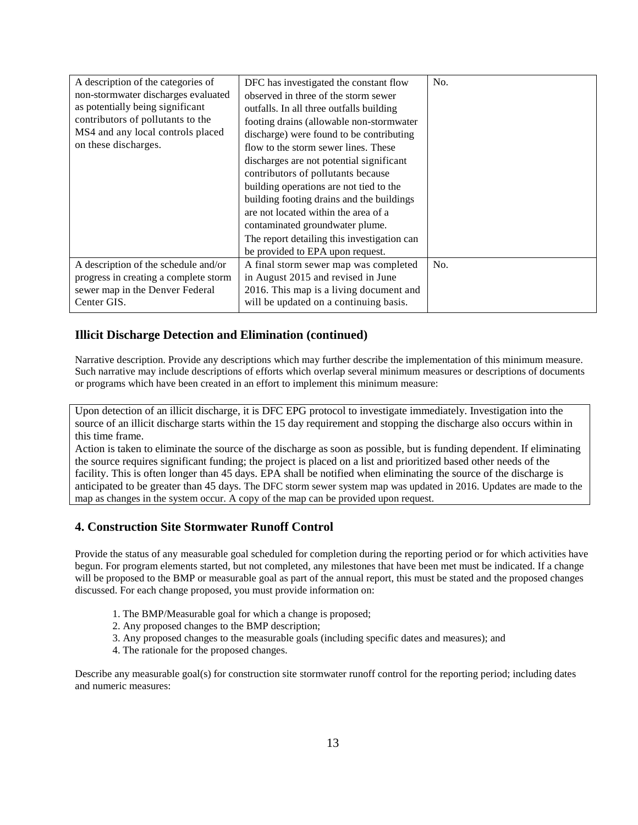| A description of the categories of    | DFC has investigated the constant flow      | No. |
|---------------------------------------|---------------------------------------------|-----|
| non-stormwater discharges evaluated   | observed in three of the storm sewer        |     |
| as potentially being significant      | outfalls. In all three outfalls building    |     |
| contributors of pollutants to the     | footing drains (allowable non-stormwater    |     |
| MS4 and any local controls placed     | discharge) were found to be contributing    |     |
| on these discharges.                  | flow to the storm sewer lines. These        |     |
|                                       | discharges are not potential significant    |     |
|                                       | contributors of pollutants because          |     |
|                                       | building operations are not tied to the     |     |
|                                       | building footing drains and the buildings   |     |
|                                       | are not located within the area of a        |     |
|                                       | contaminated groundwater plume.             |     |
|                                       | The report detailing this investigation can |     |
|                                       | be provided to EPA upon request.            |     |
| A description of the schedule and/or  | A final storm sewer map was completed       | No. |
| progress in creating a complete storm | in August 2015 and revised in June          |     |
| sewer map in the Denver Federal       | 2016. This map is a living document and     |     |
| Center GIS.                           | will be updated on a continuing basis.      |     |
|                                       |                                             |     |

## **Illicit Discharge Detection and Elimination (continued)**

 Narrative description. Provide any descriptions which may further describe the implementation of this minimum measure. Such narrative may include descriptions of efforts which overlap several minimum measures or descriptions of documents or programs which have been created in an effort to implement this minimum measure:

Upon detection of an illicit discharge, it is DFC EPG protocol to investigate immediately. Investigation into the source of an illicit discharge starts within the 15 day requirement and stopping the discharge also occurs within in this time frame.

 anticipated to be greater than 45 days. The DFC storm sewer system map was updated in 2016. Updates are made to the map as changes in the system occur. A copy of the map can be provided upon request. Action is taken to eliminate the source of the discharge as soon as possible, but is funding dependent. If eliminating the source requires significant funding; the project is placed on a list and prioritized based other needs of the facility. This is often longer than 45 days. EPA shall be notified when eliminating the source of the discharge is

## **4. Construction Site Stormwater Runoff Control**

 Provide the status of any measurable goal scheduled for completion during the reporting period or for which activities have begun. For program elements started, but not completed, any milestones that have been met must be indicated. If a change will be proposed to the BMP or measurable goal as part of the annual report, this must be stated and the proposed changes discussed. For each change proposed, you must provide information on:

- 1. The BMP/Measurable goal for which a change is proposed;
- 2. Any proposed changes to the BMP description;
- 3. Any proposed changes to the measurable goals (including specific dates and measures); and
- 4. The rationale for the proposed changes.

 Describe any measurable goal(s) for construction site stormwater runoff control for the reporting period; including dates and numeric measures: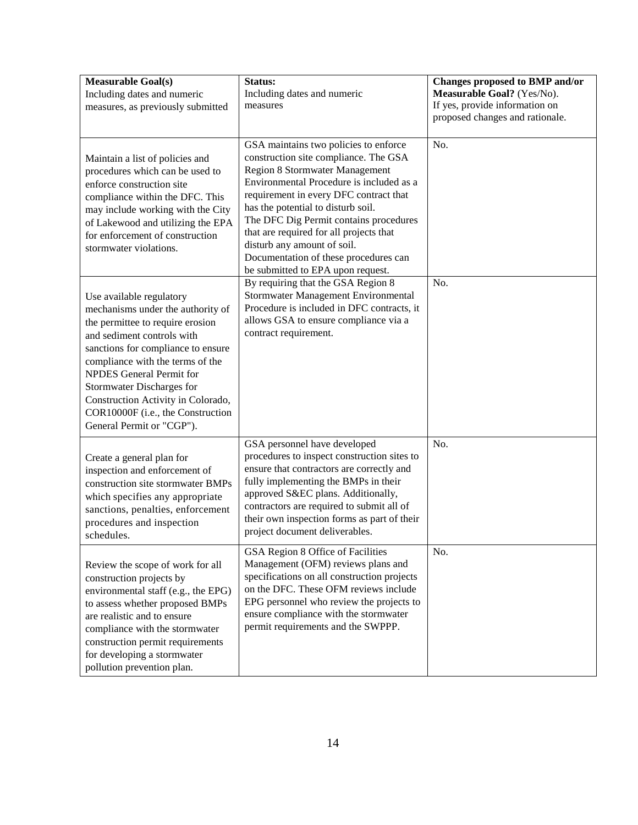| <b>Measurable Goal(s)</b><br>Including dates and numeric<br>measures, as previously submitted                                                                                                                                                                                                                                                                                            | Status:<br>Including dates and numeric<br>measures                                                                                                                                                                                                                                                                                                                                                                                                    | Changes proposed to BMP and/or<br>Measurable Goal? (Yes/No).<br>If yes, provide information on<br>proposed changes and rationale. |
|------------------------------------------------------------------------------------------------------------------------------------------------------------------------------------------------------------------------------------------------------------------------------------------------------------------------------------------------------------------------------------------|-------------------------------------------------------------------------------------------------------------------------------------------------------------------------------------------------------------------------------------------------------------------------------------------------------------------------------------------------------------------------------------------------------------------------------------------------------|-----------------------------------------------------------------------------------------------------------------------------------|
| Maintain a list of policies and<br>procedures which can be used to<br>enforce construction site<br>compliance within the DFC. This<br>may include working with the City<br>of Lakewood and utilizing the EPA<br>for enforcement of construction<br>stormwater violations.                                                                                                                | GSA maintains two policies to enforce<br>construction site compliance. The GSA<br><b>Region 8 Stormwater Management</b><br>Environmental Procedure is included as a<br>requirement in every DFC contract that<br>has the potential to disturb soil.<br>The DFC Dig Permit contains procedures<br>that are required for all projects that<br>disturb any amount of soil.<br>Documentation of these procedures can<br>be submitted to EPA upon request. | No.                                                                                                                               |
| Use available regulatory<br>mechanisms under the authority of<br>the permittee to require erosion<br>and sediment controls with<br>sanctions for compliance to ensure<br>compliance with the terms of the<br><b>NPDES</b> General Permit for<br><b>Stormwater Discharges for</b><br>Construction Activity in Colorado,<br>COR10000F (i.e., the Construction<br>General Permit or "CGP"). | By requiring that the GSA Region 8<br>Stormwater Management Environmental<br>Procedure is included in DFC contracts, it<br>allows GSA to ensure compliance via a<br>contract requirement.                                                                                                                                                                                                                                                             | No.                                                                                                                               |
| Create a general plan for<br>inspection and enforcement of<br>construction site stormwater BMPs<br>which specifies any appropriate<br>sanctions, penalties, enforcement<br>procedures and inspection<br>schedules.                                                                                                                                                                       | GSA personnel have developed<br>procedures to inspect construction sites to<br>ensure that contractors are correctly and<br>fully implementing the BMPs in their<br>approved S&EC plans. Additionally,<br>contractors are required to submit all of<br>their own inspection forms as part of their<br>project document deliverables.                                                                                                                  | No.                                                                                                                               |
| Review the scope of work for all<br>construction projects by<br>environmental staff (e.g., the EPG)<br>to assess whether proposed BMPs<br>are realistic and to ensure<br>compliance with the stormwater<br>construction permit requirements<br>for developing a stormwater<br>pollution prevention plan.                                                                                 | GSA Region 8 Office of Facilities<br>Management (OFM) reviews plans and<br>specifications on all construction projects<br>on the DFC. These OFM reviews include<br>EPG personnel who review the projects to<br>ensure compliance with the stormwater<br>permit requirements and the SWPPP.                                                                                                                                                            | No.                                                                                                                               |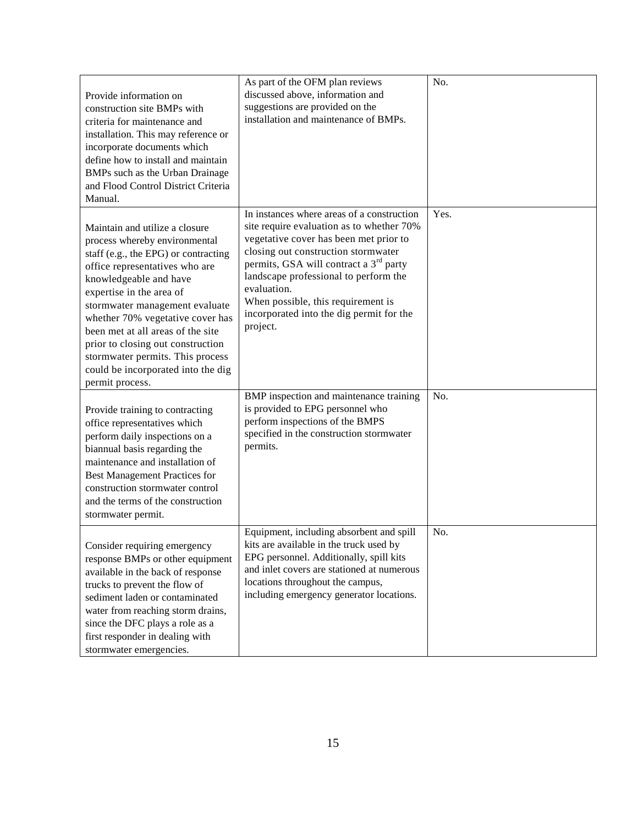| Provide information on<br>construction site BMPs with<br>criteria for maintenance and<br>installation. This may reference or<br>incorporate documents which<br>define how to install and maintain<br>BMPs such as the Urban Drainage<br>and Flood Control District Criteria<br>Manual.                                                                                                                                                       | As part of the OFM plan reviews<br>discussed above, information and<br>suggestions are provided on the<br>installation and maintenance of BMPs.                                                                                                                                                                                                                                      | No.  |
|----------------------------------------------------------------------------------------------------------------------------------------------------------------------------------------------------------------------------------------------------------------------------------------------------------------------------------------------------------------------------------------------------------------------------------------------|--------------------------------------------------------------------------------------------------------------------------------------------------------------------------------------------------------------------------------------------------------------------------------------------------------------------------------------------------------------------------------------|------|
| Maintain and utilize a closure<br>process whereby environmental<br>staff (e.g., the EPG) or contracting<br>office representatives who are<br>knowledgeable and have<br>expertise in the area of<br>stormwater management evaluate<br>whether 70% vegetative cover has<br>been met at all areas of the site<br>prior to closing out construction<br>stormwater permits. This process<br>could be incorporated into the dig<br>permit process. | In instances where areas of a construction<br>site require evaluation as to whether 70%<br>vegetative cover has been met prior to<br>closing out construction stormwater<br>permits, GSA will contract a 3 <sup>rd</sup> party<br>landscape professional to perform the<br>evaluation.<br>When possible, this requirement is<br>incorporated into the dig permit for the<br>project. | Yes. |
| Provide training to contracting<br>office representatives which<br>perform daily inspections on a<br>biannual basis regarding the<br>maintenance and installation of<br><b>Best Management Practices for</b><br>construction stormwater control<br>and the terms of the construction<br>stormwater permit.                                                                                                                                   | BMP inspection and maintenance training<br>is provided to EPG personnel who<br>perform inspections of the BMPS<br>specified in the construction stormwater<br>permits.                                                                                                                                                                                                               | No.  |
| Consider requiring emergency<br>response BMPs or other equipment<br>available in the back of response<br>trucks to prevent the flow of<br>sediment laden or contaminated<br>water from reaching storm drains,<br>since the DFC plays a role as a<br>first responder in dealing with<br>stormwater emergencies.                                                                                                                               | Equipment, including absorbent and spill<br>kits are available in the truck used by<br>EPG personnel. Additionally, spill kits<br>and inlet covers are stationed at numerous<br>locations throughout the campus,<br>including emergency generator locations.                                                                                                                         | No.  |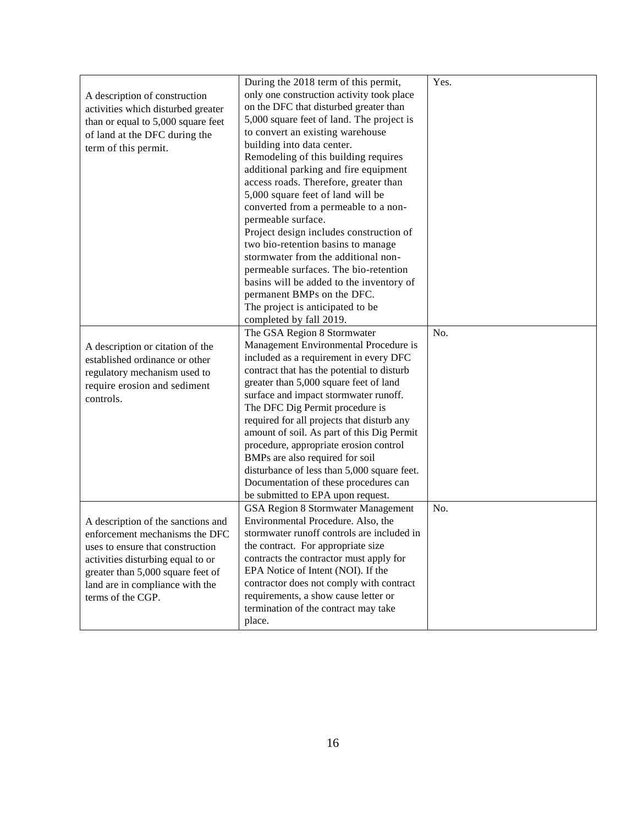|                                    | During the 2018 term of this permit,                                     | Yes. |
|------------------------------------|--------------------------------------------------------------------------|------|
| A description of construction      | only one construction activity took place                                |      |
| activities which disturbed greater | on the DFC that disturbed greater than                                   |      |
| than or equal to 5,000 square feet | 5,000 square feet of land. The project is                                |      |
| of land at the DFC during the      | to convert an existing warehouse                                         |      |
| term of this permit.               | building into data center.                                               |      |
|                                    | Remodeling of this building requires                                     |      |
|                                    | additional parking and fire equipment                                    |      |
|                                    | access roads. Therefore, greater than                                    |      |
|                                    | 5,000 square feet of land will be                                        |      |
|                                    | converted from a permeable to a non-                                     |      |
|                                    | permeable surface.                                                       |      |
|                                    | Project design includes construction of                                  |      |
|                                    | two bio-retention basins to manage                                       |      |
|                                    | stormwater from the additional non-                                      |      |
|                                    | permeable surfaces. The bio-retention                                    |      |
|                                    | basins will be added to the inventory of                                 |      |
|                                    | permanent BMPs on the DFC.                                               |      |
|                                    | The project is anticipated to be                                         |      |
|                                    | completed by fall 2019.                                                  |      |
|                                    | The GSA Region 8 Stormwater                                              | No.  |
|                                    | Management Environmental Procedure is                                    |      |
| A description or citation of the   | included as a requirement in every DFC                                   |      |
| established ordinance or other     | contract that has the potential to disturb                               |      |
| regulatory mechanism used to       | greater than 5,000 square feet of land                                   |      |
| require erosion and sediment       | surface and impact stormwater runoff.                                    |      |
| controls.                          | The DFC Dig Permit procedure is                                          |      |
|                                    | required for all projects that disturb any                               |      |
|                                    | amount of soil. As part of this Dig Permit                               |      |
|                                    |                                                                          |      |
|                                    | procedure, appropriate erosion control                                   |      |
|                                    | BMPs are also required for soil                                          |      |
|                                    | disturbance of less than 5,000 square feet.                              |      |
|                                    | Documentation of these procedures can                                    |      |
|                                    | be submitted to EPA upon request.                                        | No.  |
|                                    | GSA Region 8 Stormwater Management<br>Environmental Procedure. Also, the |      |
| A description of the sanctions and | stormwater runoff controls are included in                               |      |
| enforcement mechanisms the DFC     |                                                                          |      |
| uses to ensure that construction   | the contract. For appropriate size                                       |      |
| activities disturbing equal to or  | contracts the contractor must apply for                                  |      |
| greater than 5,000 square feet of  | EPA Notice of Intent (NOI). If the                                       |      |
| land are in compliance with the    | contractor does not comply with contract                                 |      |
| terms of the CGP.                  | requirements, a show cause letter or                                     |      |
|                                    | termination of the contract may take                                     |      |
|                                    | place.                                                                   |      |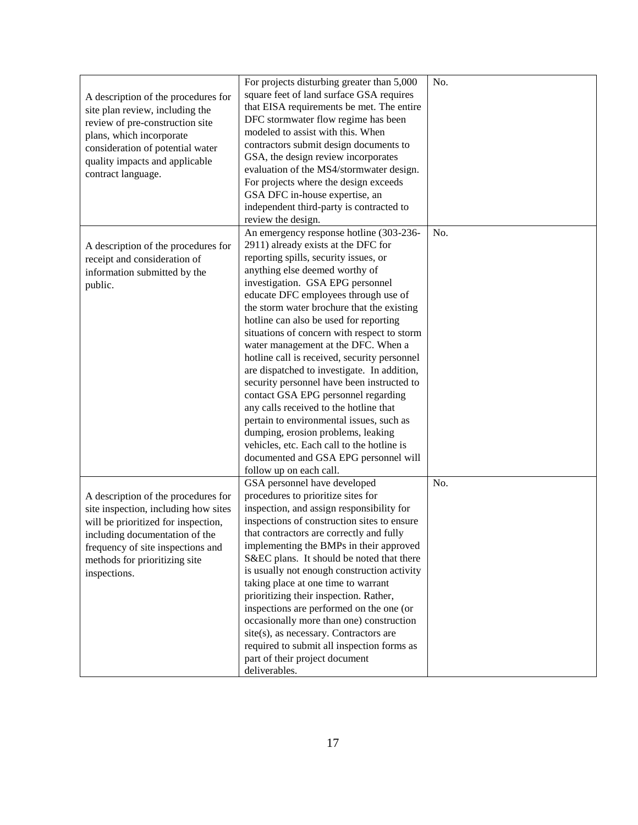| A description of the procedures for<br>site plan review, including the<br>review of pre-construction site<br>plans, which incorporate<br>consideration of potential water<br>quality impacts and applicable<br>contract language.          | For projects disturbing greater than 5,000<br>square feet of land surface GSA requires<br>that EISA requirements be met. The entire<br>DFC stormwater flow regime has been<br>modeled to assist with this. When<br>contractors submit design documents to<br>GSA, the design review incorporates<br>evaluation of the MS4/stormwater design.<br>For projects where the design exceeds<br>GSA DFC in-house expertise, an<br>independent third-party is contracted to<br>review the design.                                                                                                                                                                                                                                                                                                                                                             | No. |
|--------------------------------------------------------------------------------------------------------------------------------------------------------------------------------------------------------------------------------------------|-------------------------------------------------------------------------------------------------------------------------------------------------------------------------------------------------------------------------------------------------------------------------------------------------------------------------------------------------------------------------------------------------------------------------------------------------------------------------------------------------------------------------------------------------------------------------------------------------------------------------------------------------------------------------------------------------------------------------------------------------------------------------------------------------------------------------------------------------------|-----|
| A description of the procedures for<br>receipt and consideration of<br>information submitted by the<br>public.                                                                                                                             | An emergency response hotline (303-236-<br>2911) already exists at the DFC for<br>reporting spills, security issues, or<br>anything else deemed worthy of<br>investigation. GSA EPG personnel<br>educate DFC employees through use of<br>the storm water brochure that the existing<br>hotline can also be used for reporting<br>situations of concern with respect to storm<br>water management at the DFC. When a<br>hotline call is received, security personnel<br>are dispatched to investigate. In addition,<br>security personnel have been instructed to<br>contact GSA EPG personnel regarding<br>any calls received to the hotline that<br>pertain to environmental issues, such as<br>dumping, erosion problems, leaking<br>vehicles, etc. Each call to the hotline is<br>documented and GSA EPG personnel will<br>follow up on each call. | No. |
| A description of the procedures for<br>site inspection, including how sites<br>will be prioritized for inspection,<br>including documentation of the<br>frequency of site inspections and<br>methods for prioritizing site<br>inspections. | GSA personnel have developed<br>procedures to prioritize sites for<br>inspection, and assign responsibility for<br>inspections of construction sites to ensure<br>that contractors are correctly and fully<br>implementing the BMPs in their approved<br>S&EC plans. It should be noted that there<br>is usually not enough construction activity<br>taking place at one time to warrant<br>prioritizing their inspection. Rather,<br>inspections are performed on the one (or<br>occasionally more than one) construction<br>site(s), as necessary. Contractors are<br>required to submit all inspection forms as<br>part of their project document<br>deliverables.                                                                                                                                                                                 | No. |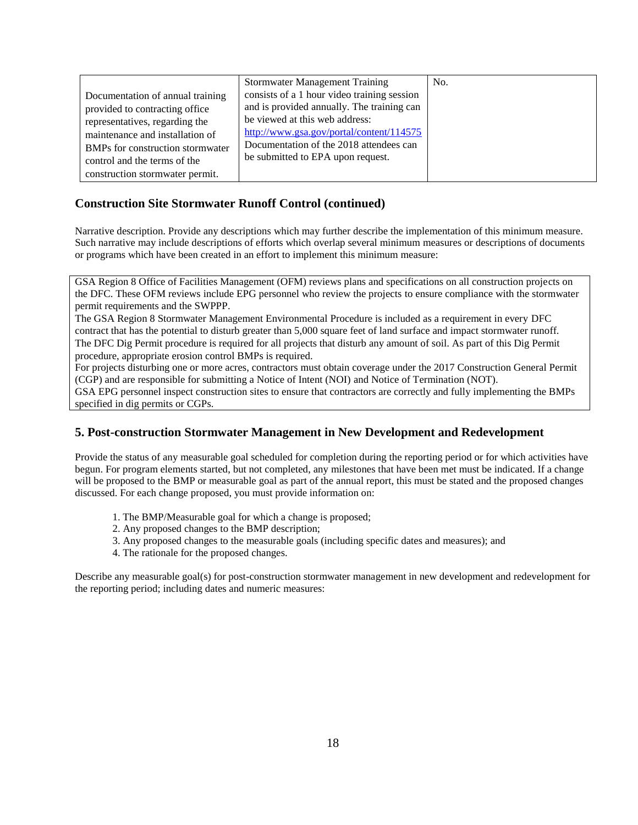|                                  | <b>Stormwater Management Training</b>       | No. |
|----------------------------------|---------------------------------------------|-----|
| Documentation of annual training | consists of a 1 hour video training session |     |
| provided to contracting office   | and is provided annually. The training can  |     |
| representatives, regarding the   | be viewed at this web address:              |     |
| maintenance and installation of  | http://www.gsa.gov/portal/content/114575    |     |
| BMPs for construction stormwater | Documentation of the 2018 attendees can     |     |
| control and the terms of the     | be submitted to EPA upon request.           |     |
| construction stormwater permit.  |                                             |     |

#### **Construction Site Stormwater Runoff Control (continued)**

 Narrative description. Provide any descriptions which may further describe the implementation of this minimum measure. Such narrative may include descriptions of efforts which overlap several minimum measures or descriptions of documents or programs which have been created in an effort to implement this minimum measure:

 GSA Region 8 Office of Facilities Management (OFM) reviews plans and specifications on all construction projects on the DFC. These OFM reviews include EPG personnel who review the projects to ensure compliance with the stormwater permit requirements and the SWPPP.

 The GSA Region 8 Stormwater Management Environmental Procedure is included as a requirement in every DFC contract that has the potential to disturb greater than 5,000 square feet of land surface and impact stormwater runoff. The DFC Dig Permit procedure is required for all projects that disturb any amount of soil. As part of this Dig Permit procedure, appropriate erosion control BMPs is required.

 For projects disturbing one or more acres, contractors must obtain coverage under the 2017 Construction General Permit (CGP) and are responsible for submitting a Notice of Intent (NOI) and Notice of Termination (NOT).

 GSA EPG personnel inspect construction sites to ensure that contractors are correctly and fully implementing the BMPs specified in dig permits or CGPs.

## **5. Post-construction Stormwater Management in New Development and Redevelopment**

 Provide the status of any measurable goal scheduled for completion during the reporting period or for which activities have begun. For program elements started, but not completed, any milestones that have been met must be indicated. If a change will be proposed to the BMP or measurable goal as part of the annual report, this must be stated and the proposed changes discussed. For each change proposed, you must provide information on:

- 1. The BMP/Measurable goal for which a change is proposed;
- 2. Any proposed changes to the BMP description;
- 3. Any proposed changes to the measurable goals (including specific dates and measures); and
- 4. The rationale for the proposed changes.

 Describe any measurable goal(s) for post-construction stormwater management in new development and redevelopment for the reporting period; including dates and numeric measures: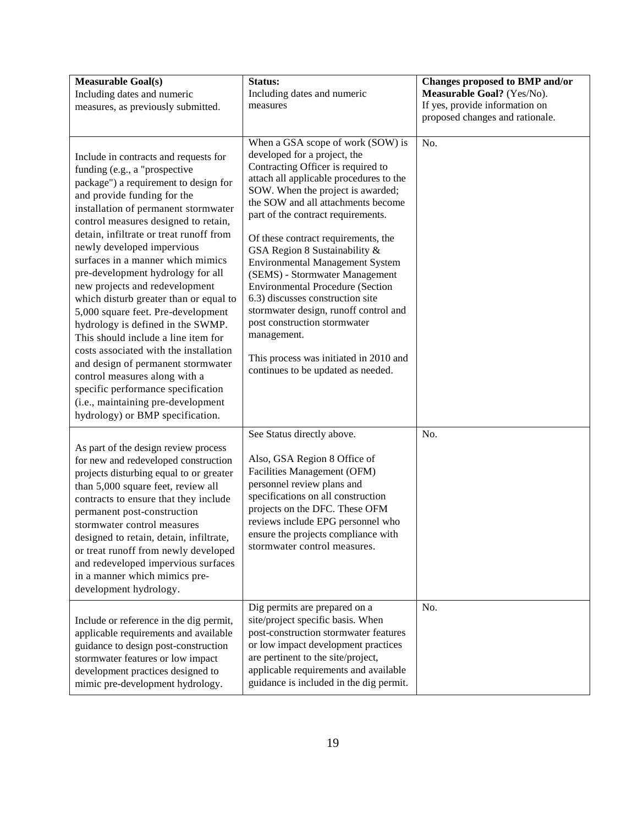| <b>Measurable Goal(s)</b><br>Including dates and numeric<br>measures, as previously submitted.                                                                                                                                                                                                                                                                                                                                                                                                                                                                                                                                                                                                                                                                                                                   | Status:<br>Including dates and numeric<br>measures                                                                                                                                                                                                                                                                                                                                                                                                                                                                                                                                                                                                                             | Changes proposed to BMP and/or<br>Measurable Goal? (Yes/No).<br>If yes, provide information on<br>proposed changes and rationale. |
|------------------------------------------------------------------------------------------------------------------------------------------------------------------------------------------------------------------------------------------------------------------------------------------------------------------------------------------------------------------------------------------------------------------------------------------------------------------------------------------------------------------------------------------------------------------------------------------------------------------------------------------------------------------------------------------------------------------------------------------------------------------------------------------------------------------|--------------------------------------------------------------------------------------------------------------------------------------------------------------------------------------------------------------------------------------------------------------------------------------------------------------------------------------------------------------------------------------------------------------------------------------------------------------------------------------------------------------------------------------------------------------------------------------------------------------------------------------------------------------------------------|-----------------------------------------------------------------------------------------------------------------------------------|
| Include in contracts and requests for<br>funding (e.g., a "prospective<br>package") a requirement to design for<br>and provide funding for the<br>installation of permanent stormwater<br>control measures designed to retain,<br>detain, infiltrate or treat runoff from<br>newly developed impervious<br>surfaces in a manner which mimics<br>pre-development hydrology for all<br>new projects and redevelopment<br>which disturb greater than or equal to<br>5,000 square feet. Pre-development<br>hydrology is defined in the SWMP.<br>This should include a line item for<br>costs associated with the installation<br>and design of permanent stormwater<br>control measures along with a<br>specific performance specification<br>(i.e., maintaining pre-development<br>hydrology) or BMP specification. | When a GSA scope of work (SOW) is<br>developed for a project, the<br>Contracting Officer is required to<br>attach all applicable procedures to the<br>SOW. When the project is awarded;<br>the SOW and all attachments become<br>part of the contract requirements.<br>Of these contract requirements, the<br>GSA Region 8 Sustainability &<br><b>Environmental Management System</b><br>(SEMS) - Stormwater Management<br><b>Environmental Procedure (Section</b><br>6.3) discusses construction site<br>stormwater design, runoff control and<br>post construction stormwater<br>management.<br>This process was initiated in 2010 and<br>continues to be updated as needed. | No.                                                                                                                               |
| As part of the design review process<br>for new and redeveloped construction<br>projects disturbing equal to or greater<br>than 5,000 square feet, review all<br>contracts to ensure that they include<br>permanent post-construction<br>stormwater control measures<br>designed to retain, detain, infiltrate,<br>or treat runoff from newly developed<br>and redeveloped impervious surfaces<br>in a manner which mimics pre-<br>development hydrology.                                                                                                                                                                                                                                                                                                                                                        | See Status directly above.<br>Also, GSA Region 8 Office of<br>Facilities Management (OFM)<br>personnel review plans and<br>specifications on all construction<br>projects on the DFC. These OFM<br>reviews include EPG personnel who<br>ensure the projects compliance with<br>stormwater control measures.                                                                                                                                                                                                                                                                                                                                                                    | No.                                                                                                                               |
| Include or reference in the dig permit,<br>applicable requirements and available<br>guidance to design post-construction<br>stormwater features or low impact<br>development practices designed to<br>mimic pre-development hydrology.                                                                                                                                                                                                                                                                                                                                                                                                                                                                                                                                                                           | Dig permits are prepared on a<br>site/project specific basis. When<br>post-construction stormwater features<br>or low impact development practices<br>are pertinent to the site/project,<br>applicable requirements and available<br>guidance is included in the dig permit.                                                                                                                                                                                                                                                                                                                                                                                                   | No.                                                                                                                               |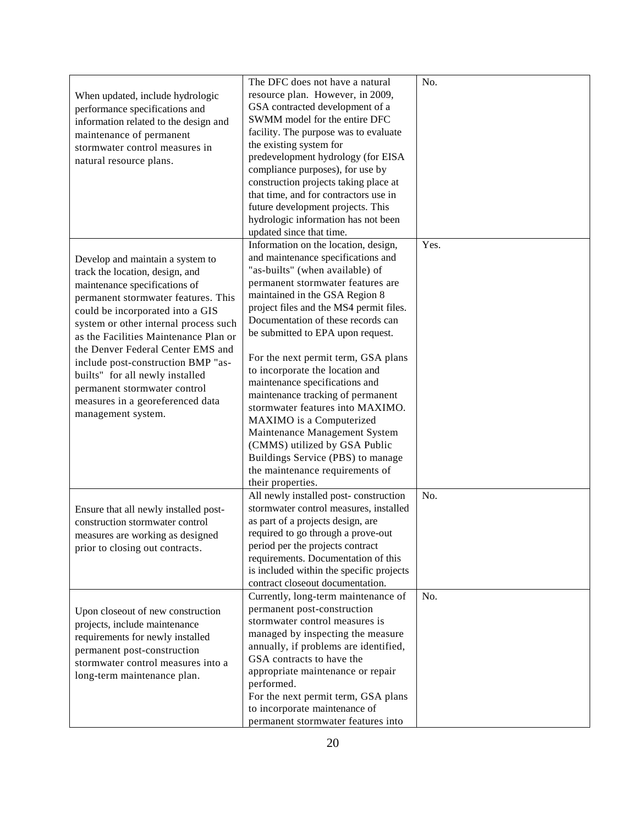|                                       | The DFC does not have a natural          | No.  |
|---------------------------------------|------------------------------------------|------|
| When updated, include hydrologic      | resource plan. However, in 2009,         |      |
| performance specifications and        | GSA contracted development of a          |      |
| information related to the design and | SWMM model for the entire DFC            |      |
| maintenance of permanent              | facility. The purpose was to evaluate    |      |
| stormwater control measures in        | the existing system for                  |      |
| natural resource plans.               | predevelopment hydrology (for EISA       |      |
|                                       | compliance purposes), for use by         |      |
|                                       | construction projects taking place at    |      |
|                                       | that time, and for contractors use in    |      |
|                                       | future development projects. This        |      |
|                                       | hydrologic information has not been      |      |
|                                       | updated since that time.                 |      |
|                                       | Information on the location, design,     | Yes. |
| Develop and maintain a system to      | and maintenance specifications and       |      |
| track the location, design, and       | "as-builts" (when available) of          |      |
| maintenance specifications of         | permanent stormwater features are        |      |
| permanent stormwater features. This   | maintained in the GSA Region 8           |      |
| could be incorporated into a GIS      | project files and the MS4 permit files.  |      |
| system or other internal process such | Documentation of these records can       |      |
| as the Facilities Maintenance Plan or | be submitted to EPA upon request.        |      |
| the Denver Federal Center EMS and     |                                          |      |
| include post-construction BMP "as-    | For the next permit term, GSA plans      |      |
| builts" for all newly installed       | to incorporate the location and          |      |
|                                       | maintenance specifications and           |      |
| permanent stormwater control          | maintenance tracking of permanent        |      |
| measures in a georeferenced data      | stormwater features into MAXIMO.         |      |
| management system.                    | MAXIMO is a Computerized                 |      |
|                                       | Maintenance Management System            |      |
|                                       | (CMMS) utilized by GSA Public            |      |
|                                       | Buildings Service (PBS) to manage        |      |
|                                       | the maintenance requirements of          |      |
|                                       | their properties.                        |      |
|                                       | All newly installed post-construction    | No.  |
| Ensure that all newly installed post- | stormwater control measures, installed   |      |
| construction stormwater control       | as part of a projects design, are        |      |
| measures are working as designed      | required to go through a prove-out       |      |
| prior to closing out contracts.       | period per the projects contract         |      |
|                                       | requirements. Documentation of this      |      |
|                                       | is included within the specific projects |      |
|                                       | contract closeout documentation.         |      |
|                                       | Currently, long-term maintenance of      | No.  |
| Upon closeout of new construction     | permanent post-construction              |      |
| projects, include maintenance         | stormwater control measures is           |      |
| requirements for newly installed      | managed by inspecting the measure        |      |
| permanent post-construction           | annually, if problems are identified,    |      |
| stormwater control measures into a    | GSA contracts to have the                |      |
| long-term maintenance plan.           | appropriate maintenance or repair        |      |
|                                       | performed.                               |      |
|                                       | For the next permit term, GSA plans      |      |
|                                       | to incorporate maintenance of            |      |
|                                       | permanent stormwater features into       |      |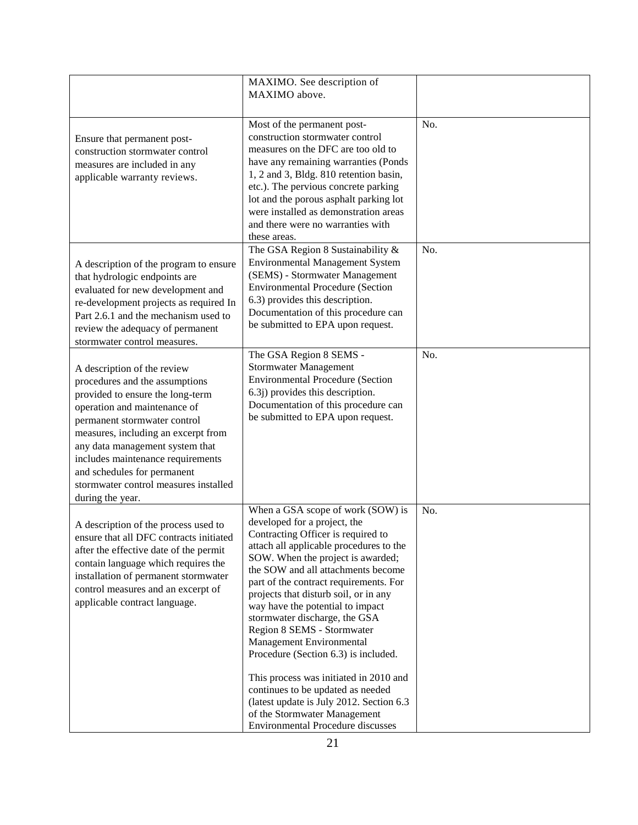|                                                                                                                                                                                                                                                                                                                                                                              | MAXIMO. See description of<br>MAXIMO above.                                                                                                                                                                                                                                                                                                                                                                                                                                                                                                                                                                                                                                              |     |
|------------------------------------------------------------------------------------------------------------------------------------------------------------------------------------------------------------------------------------------------------------------------------------------------------------------------------------------------------------------------------|------------------------------------------------------------------------------------------------------------------------------------------------------------------------------------------------------------------------------------------------------------------------------------------------------------------------------------------------------------------------------------------------------------------------------------------------------------------------------------------------------------------------------------------------------------------------------------------------------------------------------------------------------------------------------------------|-----|
| Ensure that permanent post-<br>construction stormwater control<br>measures are included in any<br>applicable warranty reviews.                                                                                                                                                                                                                                               | Most of the permanent post-<br>construction stormwater control<br>measures on the DFC are too old to<br>have any remaining warranties (Ponds<br>1, 2 and 3, Bldg. 810 retention basin,<br>etc.). The pervious concrete parking<br>lot and the porous asphalt parking lot<br>were installed as demonstration areas<br>and there were no warranties with<br>these areas.                                                                                                                                                                                                                                                                                                                   | No. |
| A description of the program to ensure<br>that hydrologic endpoints are<br>evaluated for new development and<br>re-development projects as required In<br>Part 2.6.1 and the mechanism used to<br>review the adequacy of permanent<br>stormwater control measures.                                                                                                           | The GSA Region 8 Sustainability &<br><b>Environmental Management System</b><br>(SEMS) - Stormwater Management<br><b>Environmental Procedure (Section</b><br>6.3) provides this description.<br>Documentation of this procedure can<br>be submitted to EPA upon request.                                                                                                                                                                                                                                                                                                                                                                                                                  | No. |
| A description of the review<br>procedures and the assumptions<br>provided to ensure the long-term<br>operation and maintenance of<br>permanent stormwater control<br>measures, including an excerpt from<br>any data management system that<br>includes maintenance requirements<br>and schedules for permanent<br>stormwater control measures installed<br>during the year. | The GSA Region 8 SEMS -<br><b>Stormwater Management</b><br><b>Environmental Procedure (Section</b><br>6.3j) provides this description.<br>Documentation of this procedure can<br>be submitted to EPA upon request.                                                                                                                                                                                                                                                                                                                                                                                                                                                                       | No. |
| A description of the process used to<br>ensure that all DFC contracts initiated<br>after the effective date of the permit<br>contain language which requires the<br>installation of permanent stormwater<br>control measures and an excerpt of<br>applicable contract language.                                                                                              | When a GSA scope of work (SOW) is<br>developed for a project, the<br>Contracting Officer is required to<br>attach all applicable procedures to the<br>SOW. When the project is awarded;<br>the SOW and all attachments become<br>part of the contract requirements. For<br>projects that disturb soil, or in any<br>way have the potential to impact<br>stormwater discharge, the GSA<br>Region 8 SEMS - Stormwater<br>Management Environmental<br>Procedure (Section 6.3) is included.<br>This process was initiated in 2010 and<br>continues to be updated as needed<br>(latest update is July 2012. Section 6.3)<br>of the Stormwater Management<br>Environmental Procedure discusses | No. |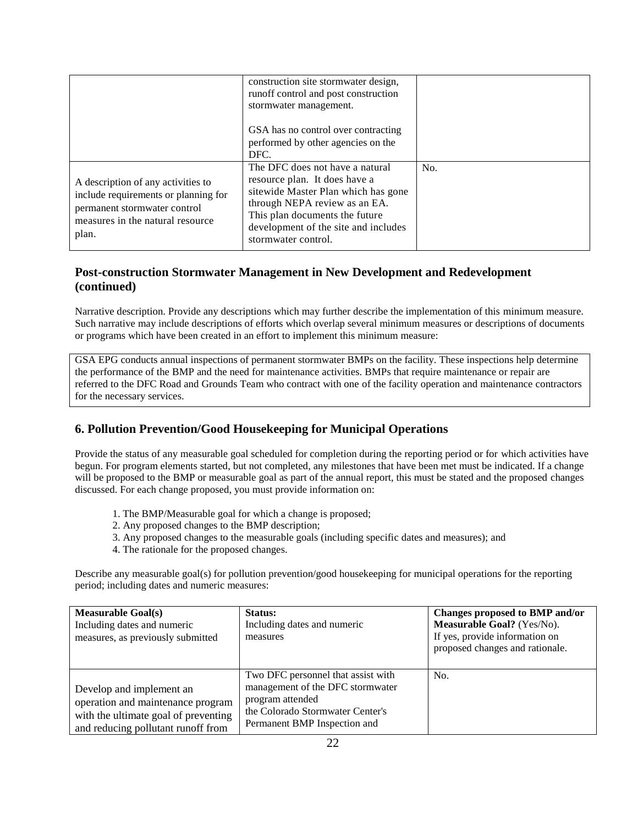|                                                                                                                                                         | construction site stormwater design,<br>runoff control and post construction<br>stormwater management.                                                                                                                                    |     |
|---------------------------------------------------------------------------------------------------------------------------------------------------------|-------------------------------------------------------------------------------------------------------------------------------------------------------------------------------------------------------------------------------------------|-----|
|                                                                                                                                                         | GSA has no control over contracting<br>performed by other agencies on the<br>DFC.                                                                                                                                                         |     |
| A description of any activities to<br>include requirements or planning for<br>permanent stormwater control<br>measures in the natural resource<br>plan. | The DFC does not have a natural<br>resource plan. It does have a<br>sitewide Master Plan which has gone<br>through NEPA review as an EA.<br>This plan documents the future<br>development of the site and includes<br>stormwater control. | No. |

## **Post-construction Stormwater Management in New Development and Redevelopment (continued)**

 Narrative description. Provide any descriptions which may further describe the implementation of this minimum measure. Such narrative may include descriptions of efforts which overlap several minimum measures or descriptions of documents or programs which have been created in an effort to implement this minimum measure:

 GSA EPG conducts annual inspections of permanent stormwater BMPs on the facility. These inspections help determine the performance of the BMP and the need for maintenance activities. BMPs that require maintenance or repair are referred to the DFC Road and Grounds Team who contract with one of the facility operation and maintenance contractors for the necessary services.

# **6. Pollution Prevention/Good Housekeeping for Municipal Operations**

 Provide the status of any measurable goal scheduled for completion during the reporting period or for which activities have begun. For program elements started, but not completed, any milestones that have been met must be indicated. If a change will be proposed to the BMP or measurable goal as part of the annual report, this must be stated and the proposed changes discussed. For each change proposed, you must provide information on:

- 1. The BMP/Measurable goal for which a change is proposed;
- 2. Any proposed changes to the BMP description;
- 3. Any proposed changes to the measurable goals (including specific dates and measures); and
- 4. The rationale for the proposed changes.

 Describe any measurable goal(s) for pollution prevention/good housekeeping for municipal operations for the reporting period; including dates and numeric measures:

| <b>Measurable Goal(s)</b><br>Including dates and numeric<br>measures, as previously submitted                                               | Status:<br>Including dates and numeric<br>measures                                                                                                             | Changes proposed to BMP and/or<br>Measurable Goal? (Yes/No).<br>If yes, provide information on<br>proposed changes and rationale. |
|---------------------------------------------------------------------------------------------------------------------------------------------|----------------------------------------------------------------------------------------------------------------------------------------------------------------|-----------------------------------------------------------------------------------------------------------------------------------|
| Develop and implement an<br>operation and maintenance program<br>with the ultimate goal of preventing<br>and reducing pollutant runoff from | Two DFC personnel that assist with<br>management of the DFC stormwater<br>program attended<br>the Colorado Stormwater Center's<br>Permanent BMP Inspection and | No.                                                                                                                               |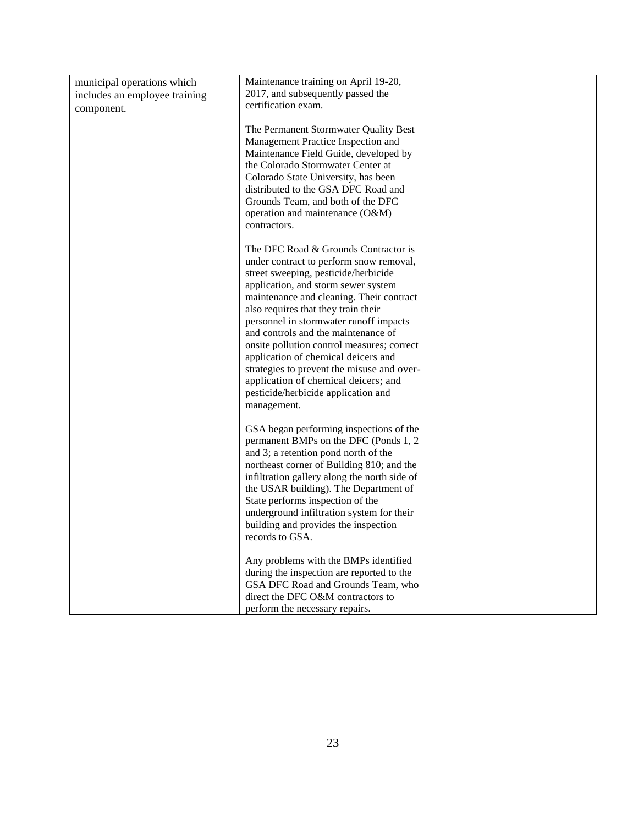| municipal operations which    | Maintenance training on April 19-20,                                                                                                                                                                                                                                                                                                                                                                                                                                                                                                                                |  |
|-------------------------------|---------------------------------------------------------------------------------------------------------------------------------------------------------------------------------------------------------------------------------------------------------------------------------------------------------------------------------------------------------------------------------------------------------------------------------------------------------------------------------------------------------------------------------------------------------------------|--|
| includes an employee training | 2017, and subsequently passed the                                                                                                                                                                                                                                                                                                                                                                                                                                                                                                                                   |  |
| component.                    | certification exam.                                                                                                                                                                                                                                                                                                                                                                                                                                                                                                                                                 |  |
|                               | The Permanent Stormwater Quality Best<br>Management Practice Inspection and<br>Maintenance Field Guide, developed by<br>the Colorado Stormwater Center at<br>Colorado State University, has been<br>distributed to the GSA DFC Road and<br>Grounds Team, and both of the DFC<br>operation and maintenance (O&M)<br>contractors.                                                                                                                                                                                                                                     |  |
|                               | The DFC Road & Grounds Contractor is<br>under contract to perform snow removal,<br>street sweeping, pesticide/herbicide<br>application, and storm sewer system<br>maintenance and cleaning. Their contract<br>also requires that they train their<br>personnel in stormwater runoff impacts<br>and controls and the maintenance of<br>onsite pollution control measures; correct<br>application of chemical deicers and<br>strategies to prevent the misuse and over-<br>application of chemical deicers; and<br>pesticide/herbicide application and<br>management. |  |
|                               | GSA began performing inspections of the<br>permanent BMPs on the DFC (Ponds 1, 2<br>and 3; a retention pond north of the<br>northeast corner of Building 810; and the<br>infiltration gallery along the north side of<br>the USAR building). The Department of<br>State performs inspection of the<br>underground infiltration system for their<br>building and provides the inspection<br>records to GSA.                                                                                                                                                          |  |
|                               | Any problems with the BMPs identified<br>during the inspection are reported to the<br>GSA DFC Road and Grounds Team, who<br>direct the DFC O&M contractors to<br>perform the necessary repairs.                                                                                                                                                                                                                                                                                                                                                                     |  |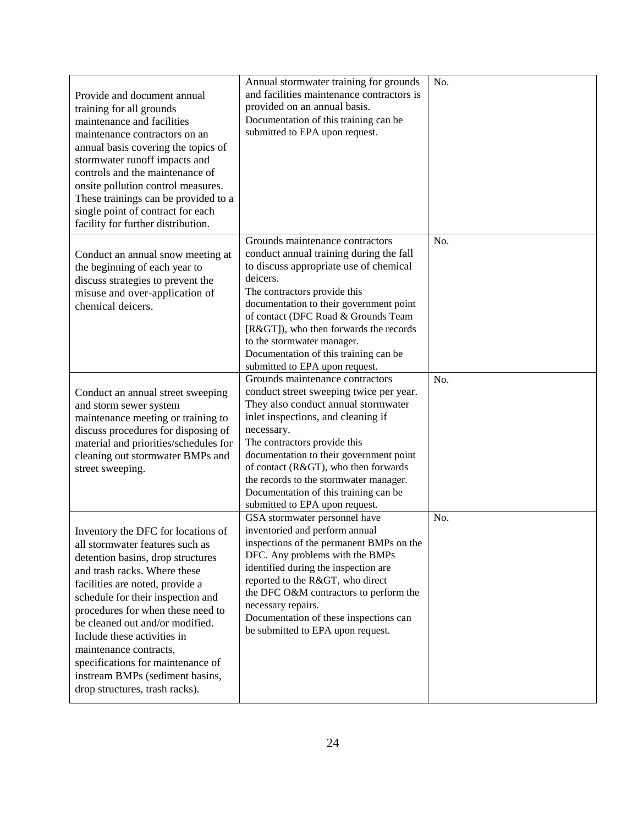| Provide and document annual<br>training for all grounds<br>maintenance and facilities<br>maintenance contractors on an<br>annual basis covering the topics of<br>stormwater runoff impacts and<br>controls and the maintenance of<br>onsite pollution control measures.<br>These trainings can be provided to a<br>single point of contract for each<br>facility for further distribution.                                                                    | Annual stormwater training for grounds<br>and facilities maintenance contractors is<br>provided on an annual basis.<br>Documentation of this training can be<br>submitted to EPA upon request.                                                                                                                                                                                                              | No. |
|---------------------------------------------------------------------------------------------------------------------------------------------------------------------------------------------------------------------------------------------------------------------------------------------------------------------------------------------------------------------------------------------------------------------------------------------------------------|-------------------------------------------------------------------------------------------------------------------------------------------------------------------------------------------------------------------------------------------------------------------------------------------------------------------------------------------------------------------------------------------------------------|-----|
| Conduct an annual snow meeting at<br>the beginning of each year to<br>discuss strategies to prevent the<br>misuse and over-application of<br>chemical deicers.                                                                                                                                                                                                                                                                                                | Grounds maintenance contractors<br>conduct annual training during the fall<br>to discuss appropriate use of chemical<br>deicers.<br>The contractors provide this<br>documentation to their government point<br>of contact (DFC Road & Grounds Team<br>[R>]), who then forwards the records<br>to the stormwater manager.<br>Documentation of this training can be<br>submitted to EPA upon request.         | No. |
| Conduct an annual street sweeping<br>and storm sewer system<br>maintenance meeting or training to<br>discuss procedures for disposing of<br>material and priorities/schedules for<br>cleaning out stormwater BMPs and<br>street sweeping.                                                                                                                                                                                                                     | Grounds maintenance contractors<br>conduct street sweeping twice per year.<br>They also conduct annual stormwater<br>inlet inspections, and cleaning if<br>necessary.<br>The contractors provide this<br>documentation to their government point<br>of contact (R>), who then forwards<br>the records to the stormwater manager.<br>Documentation of this training can be<br>submitted to EPA upon request. | No. |
| Inventory the DFC for locations of<br>all stormwater features such as<br>detention basins, drop structures<br>and trash racks. Where these<br>facilities are noted, provide a<br>schedule for their inspection and<br>procedures for when these need to<br>be cleaned out and/or modified.<br>Include these activities in<br>maintenance contracts,<br>specifications for maintenance of<br>instream BMPs (sediment basins,<br>drop structures, trash racks). | GSA stormwater personnel have<br>inventoried and perform annual<br>inspections of the permanent BMPs on the<br>DFC. Any problems with the BMPs<br>identified during the inspection are<br>reported to the R>, who direct<br>the DFC O&M contractors to perform the<br>necessary repairs.<br>Documentation of these inspections can<br>be submitted to EPA upon request.                                     | No. |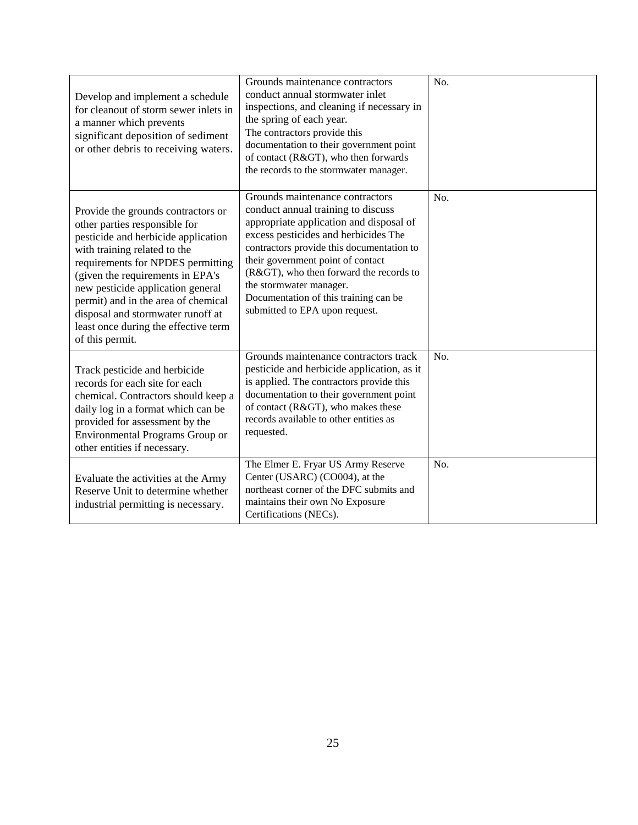| Develop and implement a schedule<br>for cleanout of storm sewer inlets in<br>a manner which prevents<br>significant deposition of sediment<br>or other debris to receiving waters.                                                                                                                                                                                                              | Grounds maintenance contractors<br>conduct annual stormwater inlet<br>inspections, and cleaning if necessary in<br>the spring of each year.<br>The contractors provide this<br>documentation to their government point<br>of contact (R>), who then forwards<br>the records to the stormwater manager.                                                                                    | No. |
|-------------------------------------------------------------------------------------------------------------------------------------------------------------------------------------------------------------------------------------------------------------------------------------------------------------------------------------------------------------------------------------------------|-------------------------------------------------------------------------------------------------------------------------------------------------------------------------------------------------------------------------------------------------------------------------------------------------------------------------------------------------------------------------------------------|-----|
| Provide the grounds contractors or<br>other parties responsible for<br>pesticide and herbicide application<br>with training related to the<br>requirements for NPDES permitting<br>(given the requirements in EPA's<br>new pesticide application general<br>permit) and in the area of chemical<br>disposal and stormwater runoff at<br>least once during the effective term<br>of this permit. | Grounds maintenance contractors<br>conduct annual training to discuss<br>appropriate application and disposal of<br>excess pesticides and herbicides The<br>contractors provide this documentation to<br>their government point of contact<br>(R>), who then forward the records to<br>the stormwater manager.<br>Documentation of this training can be<br>submitted to EPA upon request. | No. |
| Track pesticide and herbicide<br>records for each site for each<br>chemical. Contractors should keep a<br>daily log in a format which can be<br>provided for assessment by the<br>Environmental Programs Group or<br>other entities if necessary.                                                                                                                                               | Grounds maintenance contractors track<br>pesticide and herbicide application, as it<br>is applied. The contractors provide this<br>documentation to their government point<br>of contact (R>), who makes these<br>records available to other entities as<br>requested.                                                                                                                    | No. |
| Evaluate the activities at the Army<br>Reserve Unit to determine whether<br>industrial permitting is necessary.                                                                                                                                                                                                                                                                                 | The Elmer E. Fryar US Army Reserve<br>Center (USARC) (CO004), at the<br>northeast corner of the DFC submits and<br>maintains their own No Exposure<br>Certifications (NECs).                                                                                                                                                                                                              | No. |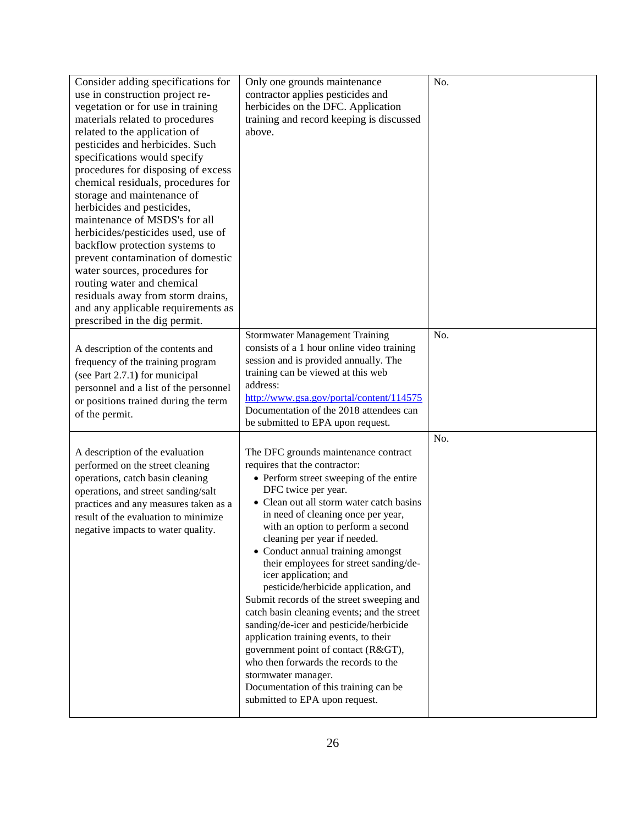| Consider adding specifications for<br>use in construction project re-<br>vegetation or for use in training<br>materials related to procedures<br>related to the application of<br>pesticides and herbicides. Such<br>specifications would specify<br>procedures for disposing of excess<br>chemical residuals, procedures for<br>storage and maintenance of<br>herbicides and pesticides,<br>maintenance of MSDS's for all<br>herbicides/pesticides used, use of<br>backflow protection systems to<br>prevent contamination of domestic<br>water sources, procedures for<br>routing water and chemical<br>residuals away from storm drains,<br>and any applicable requirements as<br>prescribed in the dig permit. | Only one grounds maintenance<br>contractor applies pesticides and<br>herbicides on the DFC. Application<br>training and record keeping is discussed<br>above.                                                                                                                                                                                                                                                                                                                                                                                                                                                                                                                                                                                                                                                  | No. |
|--------------------------------------------------------------------------------------------------------------------------------------------------------------------------------------------------------------------------------------------------------------------------------------------------------------------------------------------------------------------------------------------------------------------------------------------------------------------------------------------------------------------------------------------------------------------------------------------------------------------------------------------------------------------------------------------------------------------|----------------------------------------------------------------------------------------------------------------------------------------------------------------------------------------------------------------------------------------------------------------------------------------------------------------------------------------------------------------------------------------------------------------------------------------------------------------------------------------------------------------------------------------------------------------------------------------------------------------------------------------------------------------------------------------------------------------------------------------------------------------------------------------------------------------|-----|
| A description of the contents and<br>frequency of the training program<br>(see Part 2.7.1) for municipal<br>personnel and a list of the personnel<br>or positions trained during the term<br>of the permit.                                                                                                                                                                                                                                                                                                                                                                                                                                                                                                        | <b>Stormwater Management Training</b><br>consists of a 1 hour online video training<br>session and is provided annually. The<br>training can be viewed at this web<br>address:<br>http://www.gsa.gov/portal/content/114575<br>Documentation of the 2018 attendees can<br>be submitted to EPA upon request.                                                                                                                                                                                                                                                                                                                                                                                                                                                                                                     | No. |
| A description of the evaluation<br>performed on the street cleaning<br>operations, catch basin cleaning<br>operations, and street sanding/salt<br>practices and any measures taken as a<br>result of the evaluation to minimize<br>negative impacts to water quality.                                                                                                                                                                                                                                                                                                                                                                                                                                              | The DFC grounds maintenance contract<br>requires that the contractor:<br>• Perform street sweeping of the entire<br>DFC twice per year.<br>• Clean out all storm water catch basins<br>in need of cleaning once per year,<br>with an option to perform a second<br>cleaning per year if needed.<br>• Conduct annual training amongst<br>their employees for street sanding/de-<br>icer application; and<br>pesticide/herbicide application, and<br>Submit records of the street sweeping and<br>catch basin cleaning events; and the street<br>sanding/de-icer and pesticide/herbicide<br>application training events, to their<br>government point of contact (R>),<br>who then forwards the records to the<br>stormwater manager.<br>Documentation of this training can be<br>submitted to EPA upon request. | No. |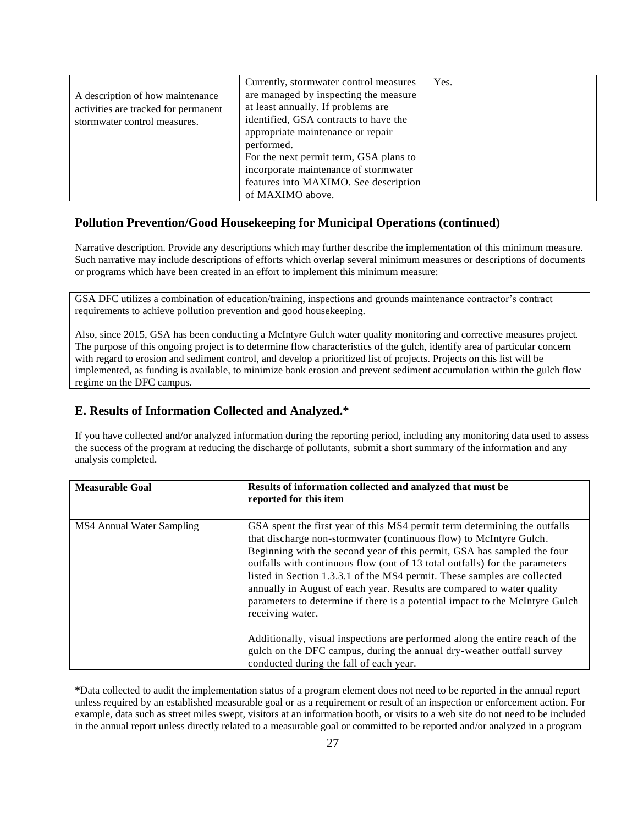|                                      | Currently, stormwater control measures | Yes. |
|--------------------------------------|----------------------------------------|------|
| A description of how maintenance     | are managed by inspecting the measure  |      |
| activities are tracked for permanent | at least annually. If problems are     |      |
| stormwater control measures.         | identified, GSA contracts to have the  |      |
|                                      | appropriate maintenance or repair      |      |
|                                      | performed.                             |      |
|                                      | For the next permit term, GSA plans to |      |
|                                      | incorporate maintenance of stormwater  |      |
|                                      | features into MAXIMO. See description  |      |
|                                      | of MAXIMO above.                       |      |

#### **Pollution Prevention/Good Housekeeping for Municipal Operations (continued)**

 Narrative description. Provide any descriptions which may further describe the implementation of this minimum measure. Such narrative may include descriptions of efforts which overlap several minimum measures or descriptions of documents or programs which have been created in an effort to implement this minimum measure:

 GSA DFC utilizes a combination of education/training, inspections and grounds maintenance contractor's contract requirements to achieve pollution prevention and good housekeeping.

 Also, since 2015, GSA has been conducting a McIntyre Gulch water quality monitoring and corrective measures project. The purpose of this ongoing project is to determine flow characteristics of the gulch, identify area of particular concern with regard to erosion and sediment control, and develop a prioritized list of projects. Projects on this list will be implemented, as funding is available, to minimize bank erosion and prevent sediment accumulation within the gulch flow regime on the DFC campus.

#### **E. Results of Information Collected and Analyzed.\***

 If you have collected and/or analyzed information during the reporting period, including any monitoring data used to assess the success of the program at reducing the discharge of pollutants, submit a short summary of the information and any analysis completed.

| <b>Measurable Goal</b>    | Results of information collected and analyzed that must be<br>reported for this item                                                                                                                                                                                                                                                                                                                                                                                                                                                                                |
|---------------------------|---------------------------------------------------------------------------------------------------------------------------------------------------------------------------------------------------------------------------------------------------------------------------------------------------------------------------------------------------------------------------------------------------------------------------------------------------------------------------------------------------------------------------------------------------------------------|
| MS4 Annual Water Sampling | GSA spent the first year of this MS4 permit term determining the outfalls<br>that discharge non-stormwater (continuous flow) to McIntyre Gulch.<br>Beginning with the second year of this permit, GSA has sampled the four<br>outfalls with continuous flow (out of 13 total outfalls) for the parameters<br>listed in Section 1.3.3.1 of the MS4 permit. These samples are collected<br>annually in August of each year. Results are compared to water quality<br>parameters to determine if there is a potential impact to the McIntyre Gulch<br>receiving water. |
|                           | Additionally, visual inspections are performed along the entire reach of the<br>gulch on the DFC campus, during the annual dry-weather outfall survey<br>conducted during the fall of each year.                                                                                                                                                                                                                                                                                                                                                                    |

 **\***Data collected to audit the implementation status of a program element does not need to be reported in the annual report unless required by an established measurable goal or as a requirement or result of an inspection or enforcement action. For example, data such as street miles swept, visitors at an information booth, or visits to a web site do not need to be included in the annual report unless directly related to a measurable goal or committed to be reported and/or analyzed in a program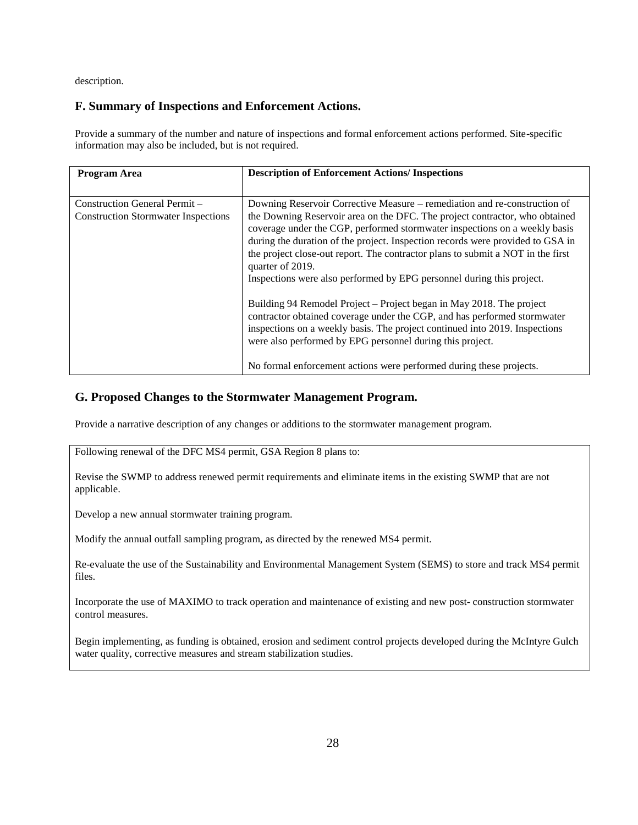description.

## **F. Summary of Inspections and Enforcement Actions.**

 Provide a summary of the number and nature of inspections and formal enforcement actions performed. Site-specific information may also be included, but is not required.

| Program Area                                                                | <b>Description of Enforcement Actions/ Inspections</b>                                                                                                                                                                                                                                                                                                                                                                                                                                                   |
|-----------------------------------------------------------------------------|----------------------------------------------------------------------------------------------------------------------------------------------------------------------------------------------------------------------------------------------------------------------------------------------------------------------------------------------------------------------------------------------------------------------------------------------------------------------------------------------------------|
|                                                                             |                                                                                                                                                                                                                                                                                                                                                                                                                                                                                                          |
| Construction General Permit -<br><b>Construction Stormwater Inspections</b> | Downing Reservoir Corrective Measure – remediation and re-construction of<br>the Downing Reservoir area on the DFC. The project contractor, who obtained<br>coverage under the CGP, performed stormwater inspections on a weekly basis<br>during the duration of the project. Inspection records were provided to GSA in<br>the project close-out report. The contractor plans to submit a NOT in the first<br>quarter of 2019.<br>Inspections were also performed by EPG personnel during this project. |
|                                                                             | Building 94 Remodel Project – Project began in May 2018. The project<br>contractor obtained coverage under the CGP, and has performed stormwater<br>inspections on a weekly basis. The project continued into 2019. Inspections<br>were also performed by EPG personnel during this project.<br>No formal enforcement actions were performed during these projects.                                                                                                                                      |

#### **G. Proposed Changes to the Stormwater Management Program.**

Provide a narrative description of any changes or additions to the stormwater management program.

Following renewal of the DFC MS4 permit, GSA Region 8 plans to:

 Revise the SWMP to address renewed permit requirements and eliminate items in the existing SWMP that are not applicable.

Develop a new annual stormwater training program.

Modify the annual outfall sampling program, as directed by the renewed MS4 permit.

 Re-evaluate the use of the Sustainability and Environmental Management System (SEMS) to store and track MS4 permit files.

 Incorporate the use of MAXIMO to track operation and maintenance of existing and new post- construction stormwater control measures.

 Begin implementing, as funding is obtained, erosion and sediment control projects developed during the McIntyre Gulch water quality, corrective measures and stream stabilization studies.